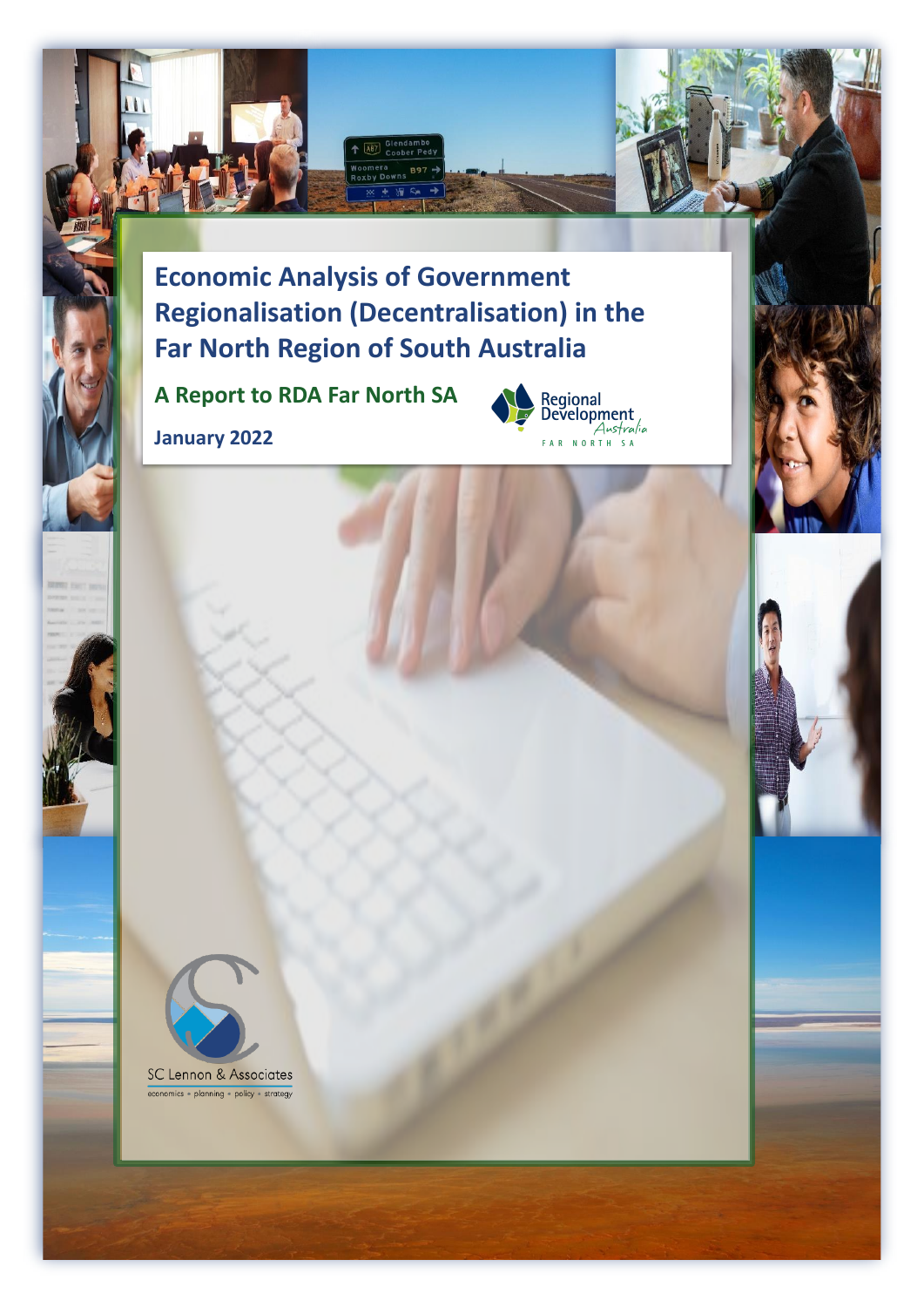

A87

**A Report to RDA Far North SA**

**January 2022**





economics · planning · policy · strategy

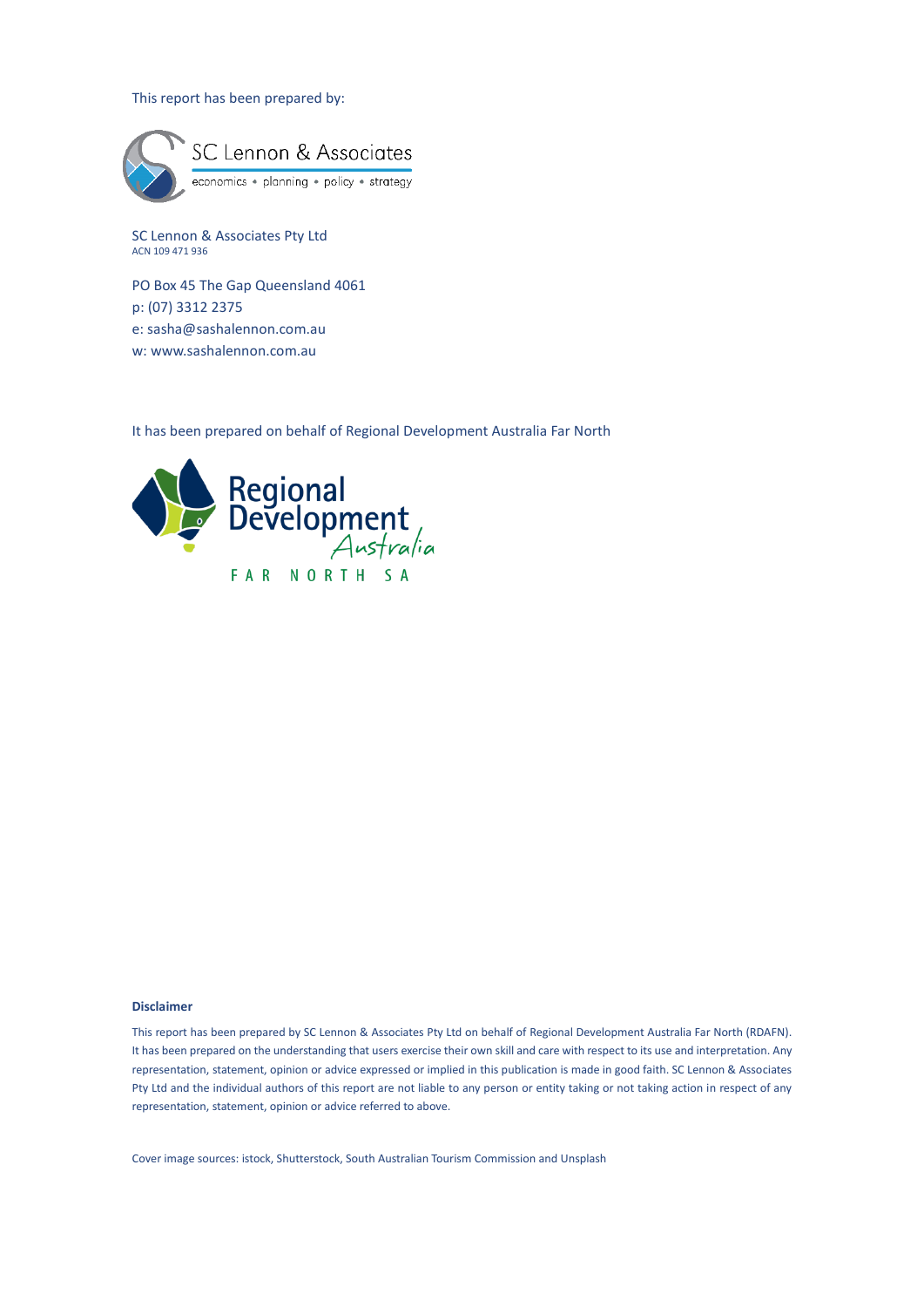#### This report has been prepared by:



SC Lennon & Associates Pty Ltd ACN 109 471 936

PO Box 45 The Gap Queensland 4061 p: (07) 3312 2375 e: [sasha@sashalennon.com.au](mailto:sasha@sashalennon.com.au) w: www.sashalennon.com.au

It has been prepared on behalf of Regional Development Australia Far North



#### **Disclaimer**

This report has been prepared by SC Lennon & Associates Pty Ltd on behalf of Regional Development Australia Far North (RDAFN). It has been prepared on the understanding that users exercise their own skill and care with respect to its use and interpretation. Any representation, statement, opinion or advice expressed or implied in this publication is made in good faith. SC Lennon & Associates Pty Ltd and the individual authors of this report are not liable to any person or entity taking or not taking action in respect of any representation, statement, opinion or advice referred to above.

Cover image sources: istock, Shutterstock, South Australian Tourism Commission and Unsplash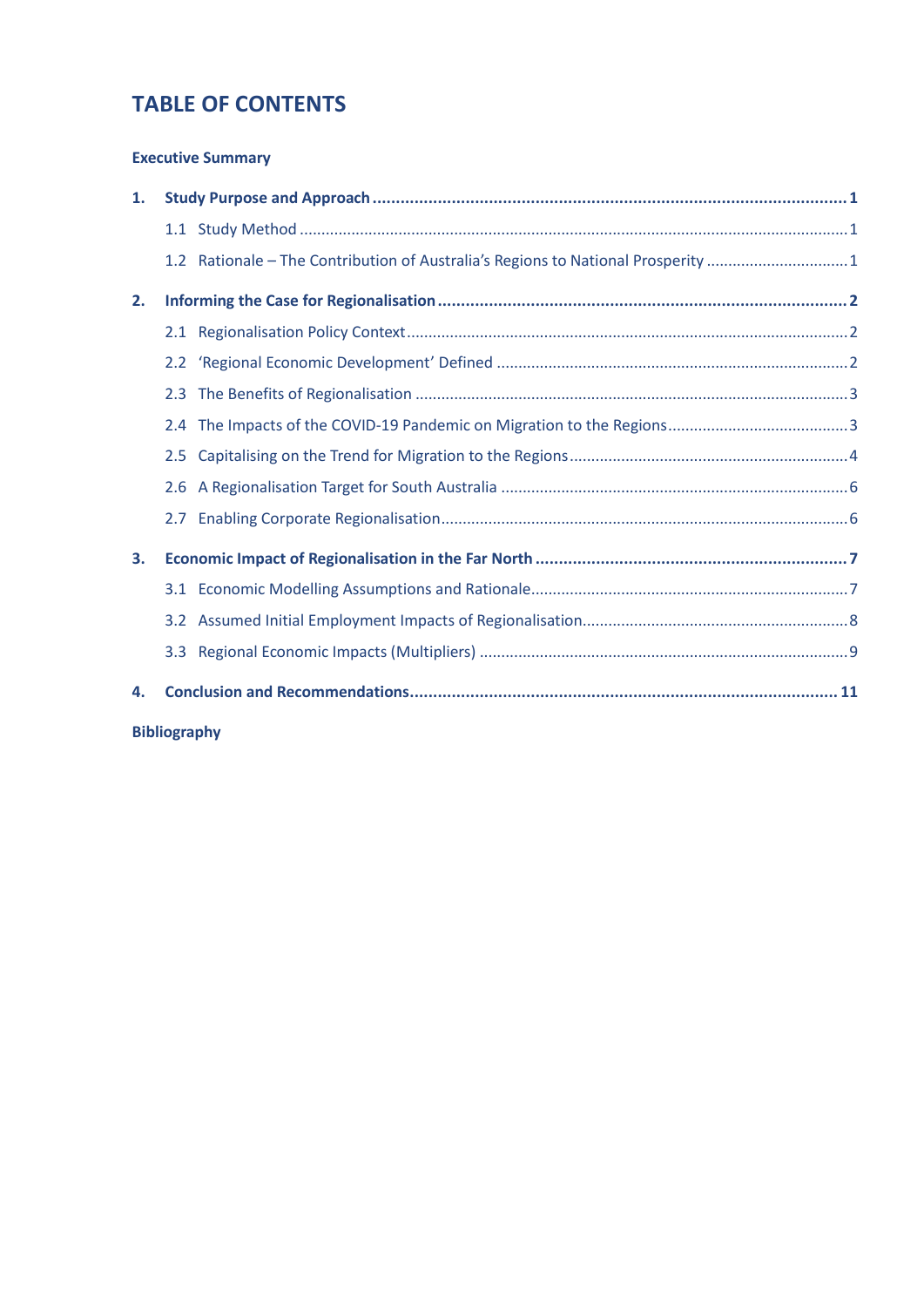# **TABLE OF CONTENTS**

#### **[Executive Summary](#page-4-0)**

| 1. |     |                                                                                  |  |
|----|-----|----------------------------------------------------------------------------------|--|
|    |     |                                                                                  |  |
|    |     | 1.2 Rationale - The Contribution of Australia's Regions to National Prosperity 1 |  |
| 2. |     |                                                                                  |  |
|    |     |                                                                                  |  |
|    |     |                                                                                  |  |
|    | 2.3 |                                                                                  |  |
|    |     |                                                                                  |  |
|    | 2.5 |                                                                                  |  |
|    |     |                                                                                  |  |
|    |     |                                                                                  |  |
| 3. |     |                                                                                  |  |
|    |     |                                                                                  |  |
|    |     |                                                                                  |  |
|    |     |                                                                                  |  |
| 4. |     |                                                                                  |  |

**[Bibliography](#page-19-0)**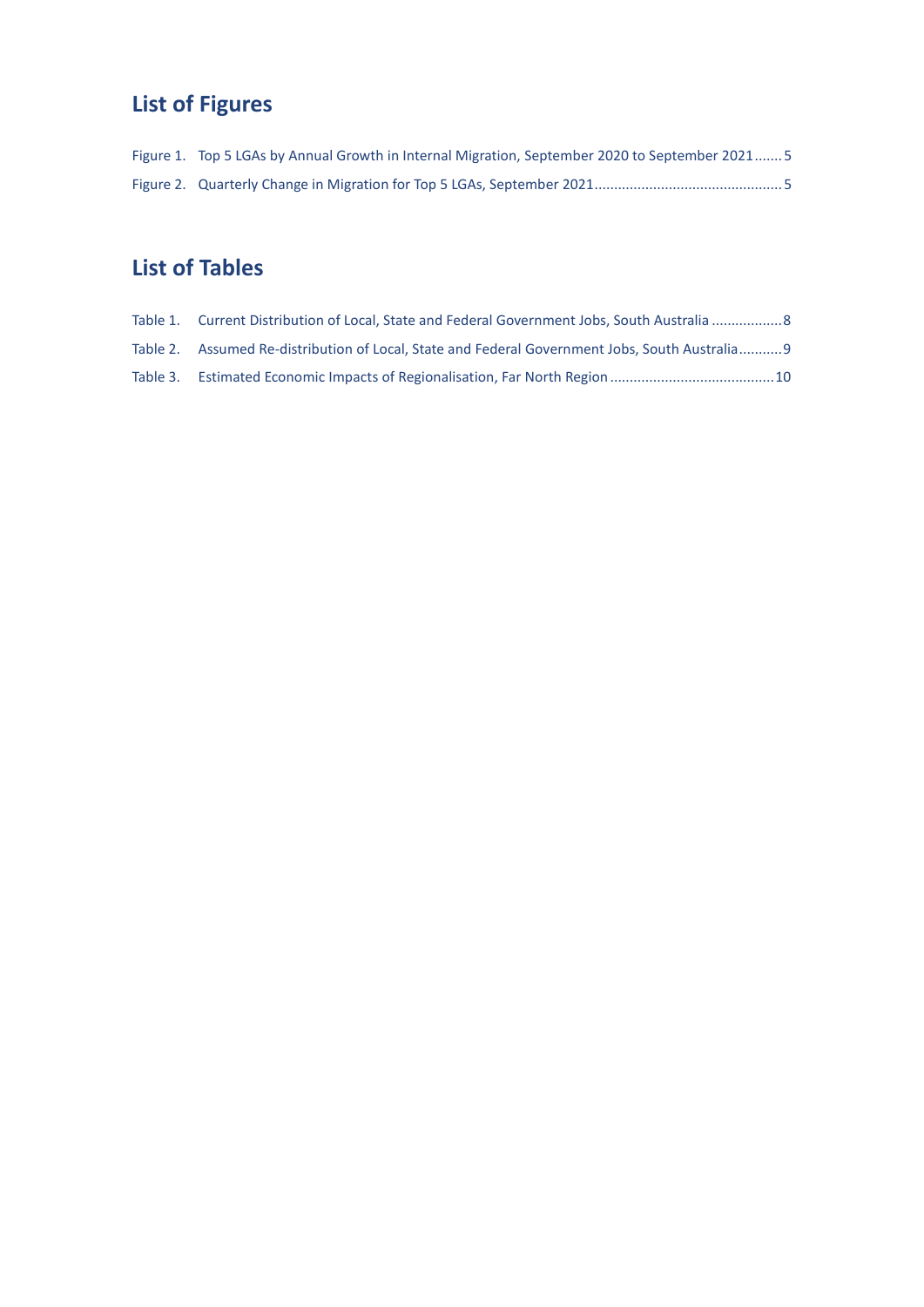# **List of Figures**

| Figure 1. Top 5 LGAs by Annual Growth in Internal Migration, September 2020 to September 2021 5 |
|-------------------------------------------------------------------------------------------------|
|                                                                                                 |

# **List of Tables**

| Table 1. Current Distribution of Local. State and Federal Government Jobs. South Australia 8   |  |
|------------------------------------------------------------------------------------------------|--|
| Table 2. Assumed Re-distribution of Local. State and Federal Government Jobs. South Australia9 |  |
|                                                                                                |  |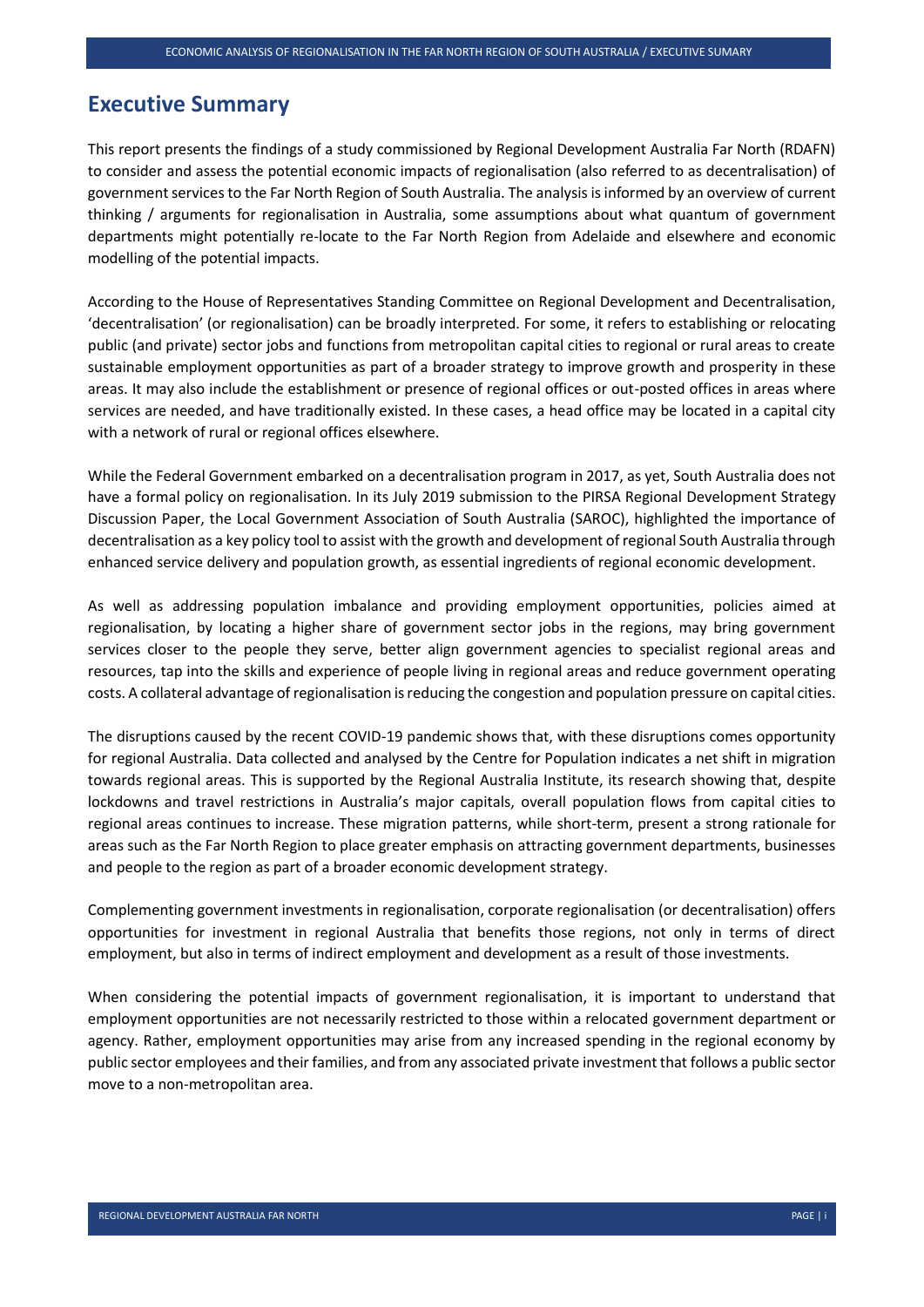#### <span id="page-4-0"></span>**Executive Summary**

This report presents the findings of a study commissioned by Regional Development Australia Far North (RDAFN) to consider and assess the potential economic impacts of regionalisation (also referred to as decentralisation) of government services to the Far North Region of South Australia. The analysis is informed by an overview of current thinking / arguments for regionalisation in Australia, some assumptions about what quantum of government departments might potentially re-locate to the Far North Region from Adelaide and elsewhere and economic modelling of the potential impacts.

According to the House of Representatives Standing Committee on Regional Development and Decentralisation, 'decentralisation' (or regionalisation) can be broadly interpreted. For some, it refers to establishing or relocating public (and private) sector jobs and functions from metropolitan capital cities to regional or rural areas to create sustainable employment opportunities as part of a broader strategy to improve growth and prosperity in these areas. It may also include the establishment or presence of regional offices or out-posted offices in areas where services are needed, and have traditionally existed. In these cases, a head office may be located in a capital city with a network of rural or regional offices elsewhere.

While the Federal Government embarked on a decentralisation program in 2017, as yet, South Australia does not have a formal policy on regionalisation. In its July 2019 submission to the PIRSA Regional Development Strategy Discussion Paper, the Local Government Association of South Australia (SAROC), highlighted the importance of decentralisation as a key policy tool to assist with the growth and development of regional South Australia through enhanced service delivery and population growth, as essential ingredients of regional economic development.

As well as addressing population imbalance and providing employment opportunities, policies aimed at regionalisation, by locating a higher share of government sector jobs in the regions, may bring government services closer to the people they serve, better align government agencies to specialist regional areas and resources, tap into the skills and experience of people living in regional areas and reduce government operating costs. A collateral advantage of regionalisation is reducing the congestion and population pressure on capital cities.

The disruptions caused by the recent COVID-19 pandemic shows that, with these disruptions comes opportunity for regional Australia. Data collected and analysed by the Centre for Population indicates a net shift in migration towards regional areas. This is supported by the Regional Australia Institute, its research showing that, despite lockdowns and travel restrictions in Australia's major capitals, overall population flows from capital cities to regional areas continues to increase. These migration patterns, while short-term, present a strong rationale for areas such as the Far North Region to place greater emphasis on attracting government departments, businesses and people to the region as part of a broader economic development strategy.

Complementing government investments in regionalisation, corporate regionalisation (or decentralisation) offers opportunities for investment in regional Australia that benefits those regions, not only in terms of direct employment, but also in terms of indirect employment and development as a result of those investments.

When considering the potential impacts of government regionalisation, it is important to understand that employment opportunities are not necessarily restricted to those within a relocated government department or agency. Rather, employment opportunities may arise from any increased spending in the regional economy by public sector employees and their families, and from any associated private investment that follows a public sector move to a non-metropolitan area.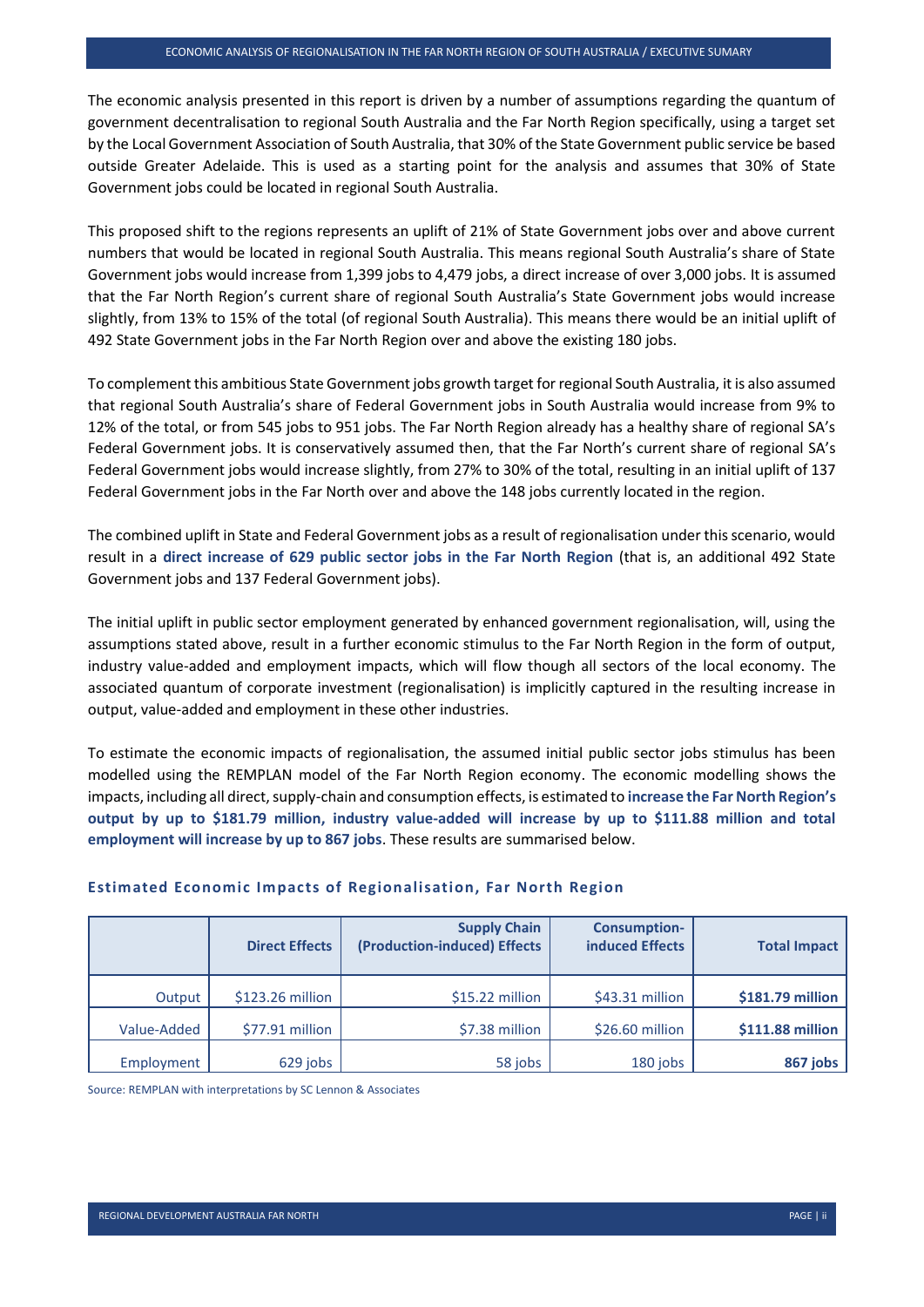The economic analysis presented in this report is driven by a number of assumptions regarding the quantum of government decentralisation to regional South Australia and the Far North Region specifically, using a target set by the Local Government Association of South Australia, that 30% of the State Government public service be based outside Greater Adelaide. This is used as a starting point for the analysis and assumes that 30% of State Government jobs could be located in regional South Australia.

This proposed shift to the regions represents an uplift of 21% of State Government jobs over and above current numbers that would be located in regional South Australia. This means regional South Australia's share of State Government jobs would increase from 1,399 jobs to 4,479 jobs, a direct increase of over 3,000 jobs. It is assumed that the Far North Region's current share of regional South Australia's State Government jobs would increase slightly, from 13% to 15% of the total (of regional South Australia). This means there would be an initial uplift of 492 State Government jobs in the Far North Region over and above the existing 180 jobs.

To complement this ambitious State Government jobs growth target for regional South Australia, it is also assumed that regional South Australia's share of Federal Government jobs in South Australia would increase from 9% to 12% of the total, or from 545 jobs to 951 jobs. The Far North Region already has a healthy share of regional SA's Federal Government jobs. It is conservatively assumed then, that the Far North's current share of regional SA's Federal Government jobs would increase slightly, from 27% to 30% of the total, resulting in an initial uplift of 137 Federal Government jobs in the Far North over and above the 148 jobs currently located in the region.

The combined uplift in State and Federal Government jobs as a result of regionalisation under this scenario, would result in a **direct increase of 629 public sector jobs in the Far North Region** (that is, an additional 492 State Government jobs and 137 Federal Government jobs).

The initial uplift in public sector employment generated by enhanced government regionalisation, will, using the assumptions stated above, result in a further economic stimulus to the Far North Region in the form of output, industry value-added and employment impacts, which will flow though all sectors of the local economy. The associated quantum of corporate investment (regionalisation) is implicitly captured in the resulting increase in output, value-added and employment in these other industries.

To estimate the economic impacts of regionalisation, the assumed initial public sector jobs stimulus has been modelled using the REMPLAN model of the Far North Region economy. The economic modelling shows the impacts, including all direct, supply-chain and consumption effects, is estimated to **increase the Far North Region's output by up to \$181.79 million, industry value-added will increase by up to \$111.88 million and total employment will increase by up to 867 jobs**. These results are summarised below.

|             | <b>Direct Effects</b> | <b>Supply Chain</b><br>(Production-induced) Effects | <b>Consumption-</b><br>induced Effects | <b>Total Impact</b> |
|-------------|-----------------------|-----------------------------------------------------|----------------------------------------|---------------------|
| Output      | \$123.26 million      | $$15.22$ million                                    | $$43.31$ million                       | \$181.79 million    |
| Value-Added | \$77.91 million       | \$7.38 million                                      | $$26.60$ million                       | \$111.88 million    |
| Employment  | 629 jobs              | 58 jobs                                             | 180 jobs                               | 867 jobs            |

#### **Estimated Economic Impacts of Regionalisation, Far North Region**

Source: REMPLAN with interpretations by SC Lennon & Associates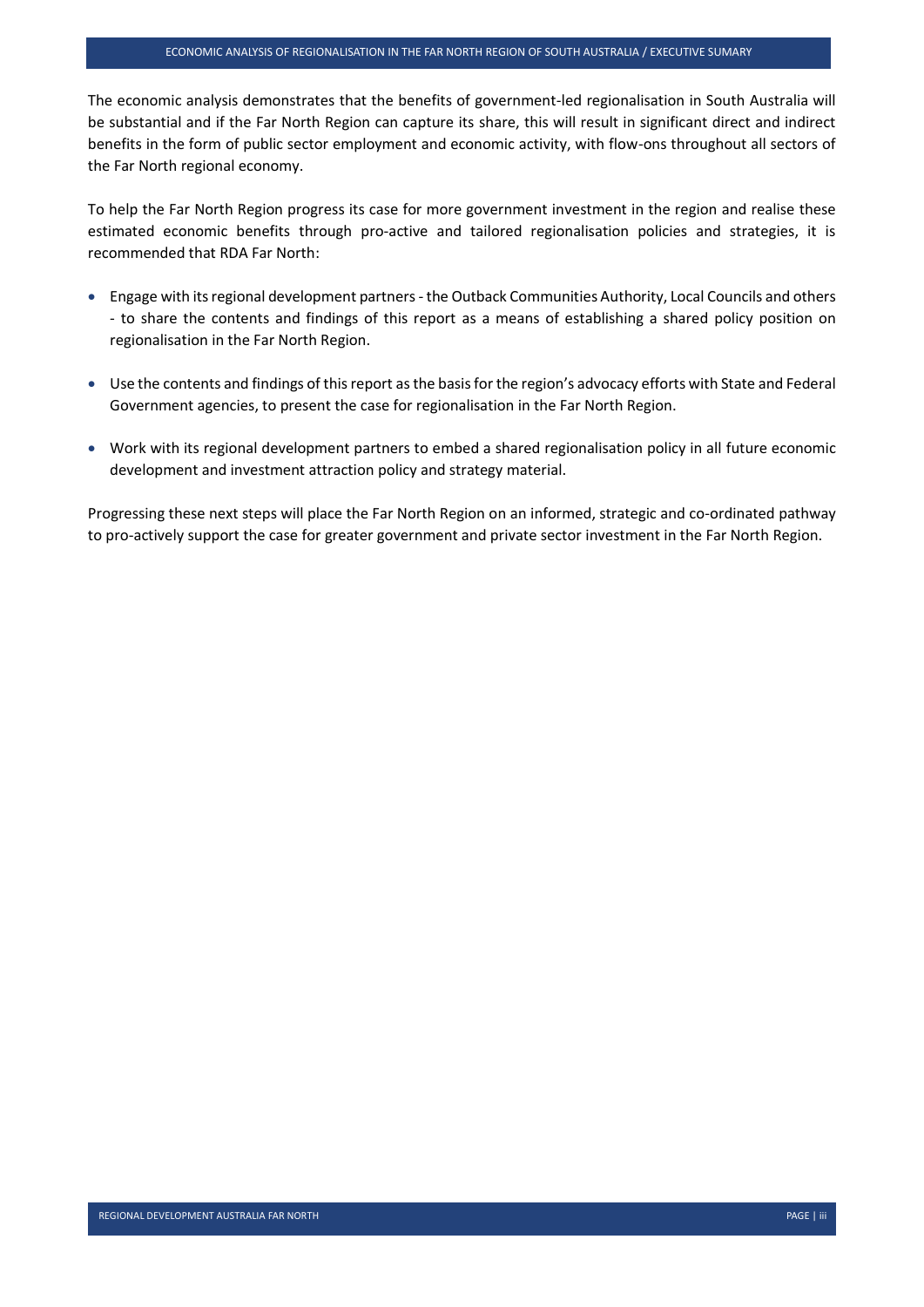The economic analysis demonstrates that the benefits of government-led regionalisation in South Australia will be substantial and if the Far North Region can capture its share, this will result in significant direct and indirect benefits in the form of public sector employment and economic activity, with flow-ons throughout all sectors of the Far North regional economy.

To help the Far North Region progress its case for more government investment in the region and realise these estimated economic benefits through pro-active and tailored regionalisation policies and strategies, it is recommended that RDA Far North:

- Engage with its regional development partners the Outback Communities Authority, Local Councils and others - to share the contents and findings of this report as a means of establishing a shared policy position on regionalisation in the Far North Region.
- Use the contents and findings of this report as the basis for the region's advocacy efforts with State and Federal Government agencies, to present the case for regionalisation in the Far North Region.
- Work with its regional development partners to embed a shared regionalisation policy in all future economic development and investment attraction policy and strategy material.

Progressing these next steps will place the Far North Region on an informed, strategic and co-ordinated pathway to pro-actively support the case for greater government and private sector investment in the Far North Region.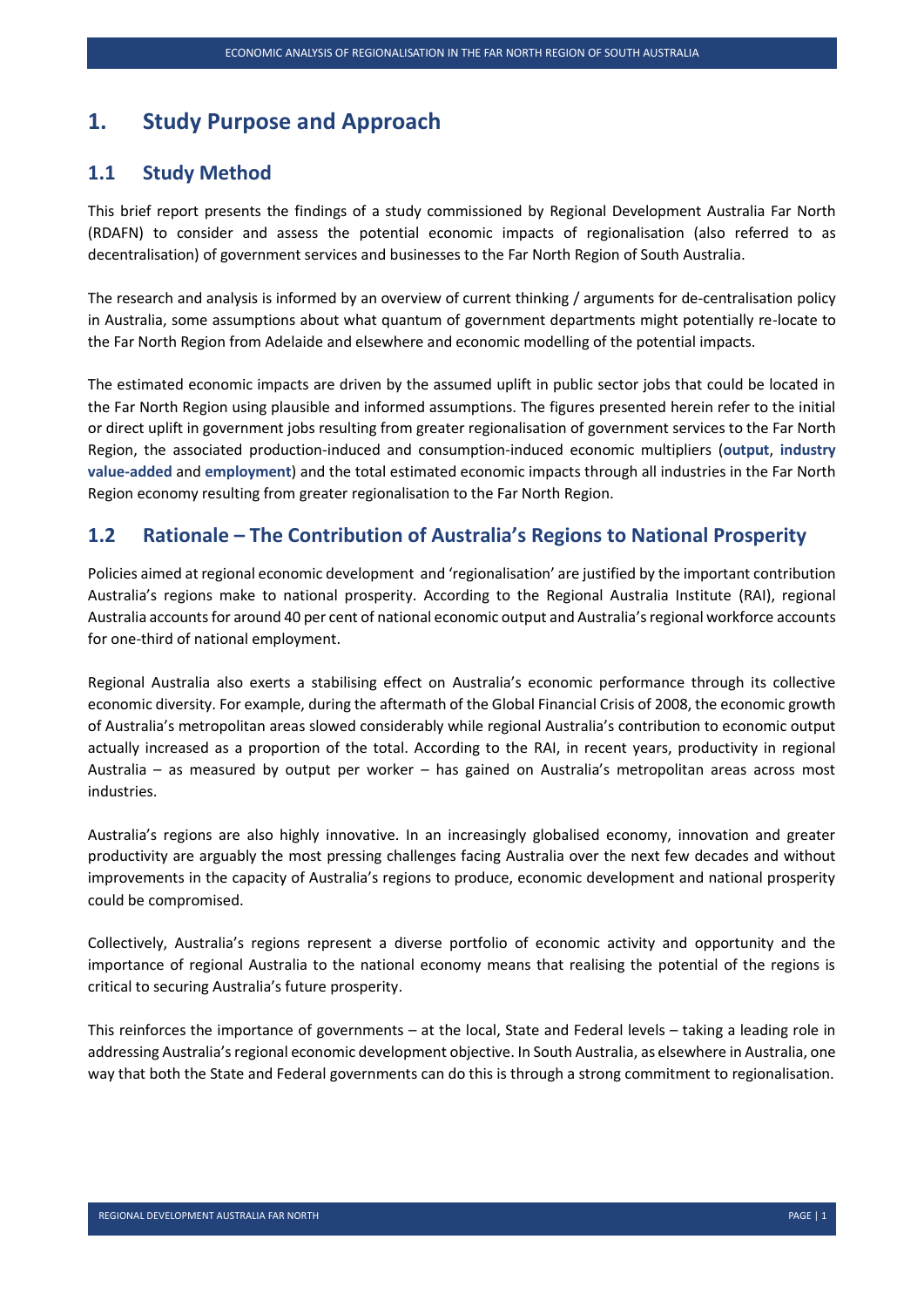#### <span id="page-7-0"></span>**1. Study Purpose and Approach**

#### <span id="page-7-1"></span>**1.1 Study Method**

This brief report presents the findings of a study commissioned by Regional Development Australia Far North (RDAFN) to consider and assess the potential economic impacts of regionalisation (also referred to as decentralisation) of government services and businesses to the Far North Region of South Australia.

The research and analysis is informed by an overview of current thinking / arguments for de-centralisation policy in Australia, some assumptions about what quantum of government departments might potentially re-locate to the Far North Region from Adelaide and elsewhere and economic modelling of the potential impacts.

The estimated economic impacts are driven by the assumed uplift in public sector jobs that could be located in the Far North Region using plausible and informed assumptions. The figures presented herein refer to the initial or direct uplift in government jobs resulting from greater regionalisation of government services to the Far North Region, the associated production-induced and consumption-induced economic multipliers (**output**, **industry value-added** and **employment**) and the total estimated economic impacts through all industries in the Far North Region economy resulting from greater regionalisation to the Far North Region.

#### <span id="page-7-2"></span>**1.2 Rationale – The Contribution of Australia's Regions to National Prosperity**

Policies aimed at regional economic development and 'regionalisation' are justified by the important contribution Australia's regions make to national prosperity. According to the Regional Australia Institute (RAI), regional Australia accounts for around 40 per cent of national economic output and Australia's regional workforce accounts for one-third of national employment.

Regional Australia also exerts a stabilising effect on Australia's economic performance through its collective economic diversity. For example, during the aftermath of the Global Financial Crisis of 2008, the economic growth of Australia's metropolitan areas slowed considerably while regional Australia's contribution to economic output actually increased as a proportion of the total. According to the RAI, in recent years, productivity in regional Australia – as measured by output per worker – has gained on Australia's metropolitan areas across most industries.

Australia's regions are also highly innovative. In an increasingly globalised economy, innovation and greater productivity are arguably the most pressing challenges facing Australia over the next few decades and without improvements in the capacity of Australia's regions to produce, economic development and national prosperity could be compromised.

Collectively, Australia's regions represent a diverse portfolio of economic activity and opportunity and the importance of regional Australia to the national economy means that realising the potential of the regions is critical to securing Australia's future prosperity.

This reinforces the importance of governments – at the local, State and Federal levels – taking a leading role in addressing Australia's regional economic development objective. In South Australia, as elsewhere in Australia, one way that both the State and Federal governments can do this is through a strong commitment to regionalisation.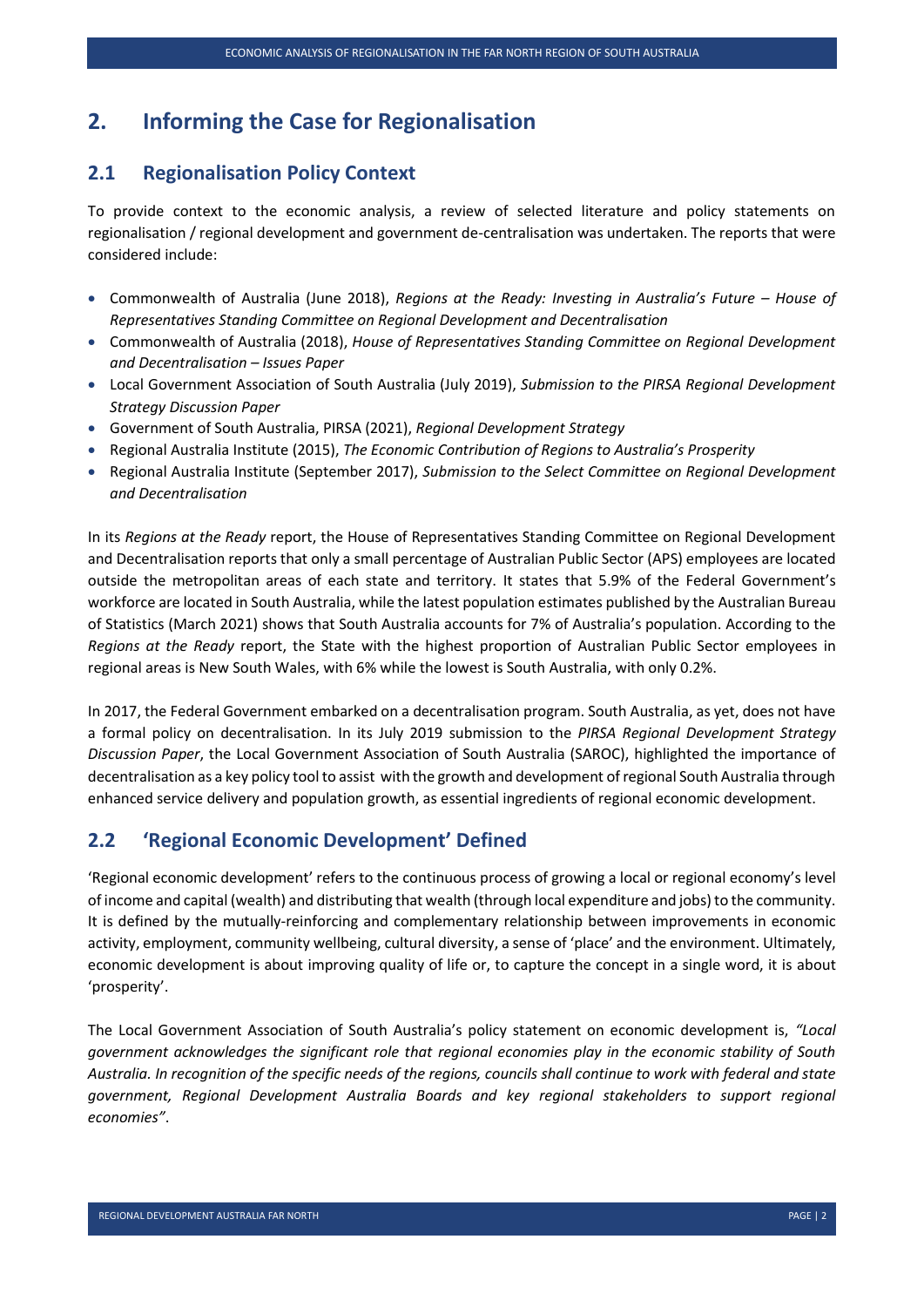### <span id="page-8-0"></span>**2. Informing the Case for Regionalisation**

#### <span id="page-8-1"></span>**2.1 Regionalisation Policy Context**

To provide context to the economic analysis, a review of selected literature and policy statements on regionalisation / regional development and government de-centralisation was undertaken. The reports that were considered include:

- Commonwealth of Australia (June 2018), *Regions at the Ready: Investing in Australia's Future – House of Representatives Standing Committee on Regional Development and Decentralisation*
- Commonwealth of Australia (2018), *House of Representatives Standing Committee on Regional Development and Decentralisation – Issues Paper*
- Local Government Association of South Australia (July 2019), *Submission to the PIRSA Regional Development Strategy Discussion Paper*
- Government of South Australia, PIRSA (2021), *Regional Development Strategy*
- Regional Australia Institute (2015), *The Economic Contribution of Regions to Australia's Prosperity*
- Regional Australia Institute (September 2017), *Submission to the Select Committee on Regional Development and Decentralisation*

In its *Regions at the Ready* report, the House of Representatives Standing Committee on Regional Development and Decentralisation reports that only a small percentage of Australian Public Sector (APS) employees are located outside the metropolitan areas of each state and territory. It states that 5.9% of the Federal Government's workforce are located in South Australia, while the latest population estimates published by the Australian Bureau of Statistics (March 2021) shows that South Australia accounts for 7% of Australia's population. According to the *Regions at the Ready* report, the State with the highest proportion of Australian Public Sector employees in regional areas is New South Wales, with 6% while the lowest is South Australia, with only 0.2%.

In 2017, the Federal Government embarked on a decentralisation program. South Australia, as yet, does not have a formal policy on decentralisation. In its July 2019 submission to the *PIRSA Regional Development Strategy Discussion Paper*, the Local Government Association of South Australia (SAROC), highlighted the importance of decentralisation as a key policy tool to assist with the growth and development of regional South Australia through enhanced service delivery and population growth, as essential ingredients of regional economic development.

#### <span id="page-8-2"></span>**2.2 'Regional Economic Development' Defined**

'Regional economic development' refers to the continuous process of growing a local or regional economy's level of income and capital (wealth) and distributing that wealth (through local expenditure and jobs) to the community. It is defined by the mutually-reinforcing and complementary relationship between improvements in economic activity, employment, community wellbeing, cultural diversity, a sense of 'place' and the environment. Ultimately, economic development is about improving quality of life or, to capture the concept in a single word, it is about 'prosperity'.

The Local Government Association of South Australia's policy statement on economic development is, *"Local government acknowledges the significant role that regional economies play in the economic stability of South Australia. In recognition of the specific needs of the regions, councils shall continue to work with federal and state government, Regional Development Australia Boards and key regional stakeholders to support regional economies"*.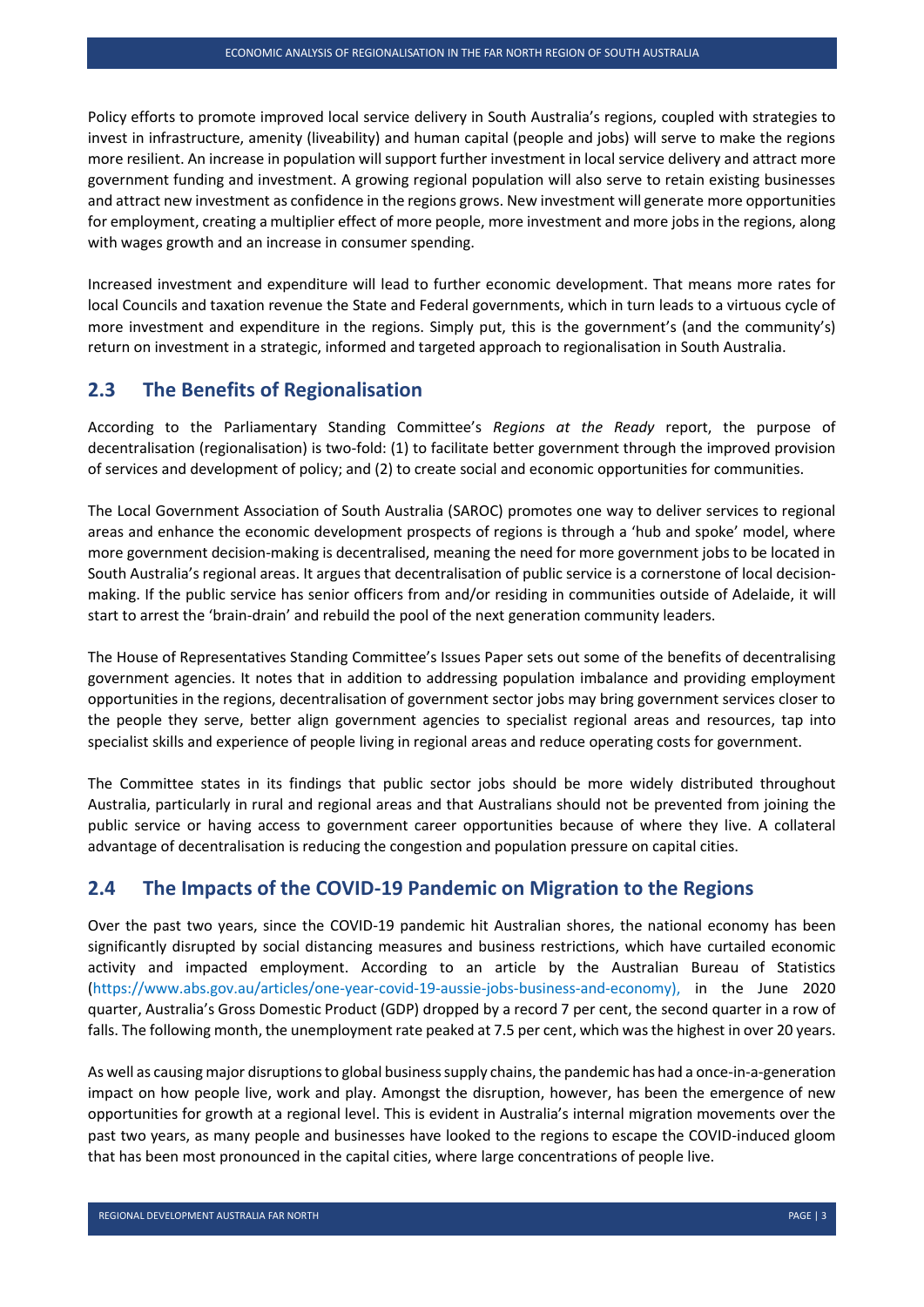Policy efforts to promote improved local service delivery in South Australia's regions, coupled with strategies to invest in infrastructure, amenity (liveability) and human capital (people and jobs) will serve to make the regions more resilient. An increase in population will support further investment in local service delivery and attract more government funding and investment. A growing regional population will also serve to retain existing businesses and attract new investment as confidence in the regions grows. New investment will generate more opportunities for employment, creating a multiplier effect of more people, more investment and more jobs in the regions, along with wages growth and an increase in consumer spending.

Increased investment and expenditure will lead to further economic development. That means more rates for local Councils and taxation revenue the State and Federal governments, which in turn leads to a virtuous cycle of more investment and expenditure in the regions. Simply put, this is the government's (and the community's) return on investment in a strategic, informed and targeted approach to regionalisation in South Australia.

#### <span id="page-9-0"></span>**2.3 The Benefits of Regionalisation**

According to the Parliamentary Standing Committee's *Regions at the Ready* report, the purpose of decentralisation (regionalisation) is two-fold: (1) to facilitate better government through the improved provision of services and development of policy; and (2) to create social and economic opportunities for communities.

The Local Government Association of South Australia (SAROC) promotes one way to deliver services to regional areas and enhance the economic development prospects of regions is through a 'hub and spoke' model, where more government decision-making is decentralised, meaning the need for more government jobs to be located in South Australia's regional areas. It argues that decentralisation of public service is a cornerstone of local decisionmaking. If the public service has senior officers from and/or residing in communities outside of Adelaide, it will start to arrest the 'brain-drain' and rebuild the pool of the next generation community leaders.

The House of Representatives Standing Committee's Issues Paper sets out some of the benefits of decentralising government agencies. It notes that in addition to addressing population imbalance and providing employment opportunities in the regions, decentralisation of government sector jobs may bring government services closer to the people they serve, better align government agencies to specialist regional areas and resources, tap into specialist skills and experience of people living in regional areas and reduce operating costs for government.

The Committee states in its findings that public sector jobs should be more widely distributed throughout Australia, particularly in rural and regional areas and that Australians should not be prevented from joining the public service or having access to government career opportunities because of where they live. A collateral advantage of decentralisation is reducing the congestion and population pressure on capital cities.

#### <span id="page-9-1"></span>**2.4 The Impacts of the COVID-19 Pandemic on Migration to the Regions**

Over the past two years, since the COVID-19 pandemic hit Australian shores, the national economy has been significantly disrupted by social distancing measures and business restrictions, which have curtailed economic activity and impacted employment. According to an article by the Australian Bureau of Statistics [\(https://www.abs.gov.au/articles/one-year-covid-19-aussie-jobs-business-and-economy\)](https://www.abs.gov.au/articles/one-year-covid-19-aussie-jobs-business-and-economy), in the June 2020 quarter, Australia's Gross Domestic Product (GDP) dropped by a record 7 per cent, the second quarter in a row of falls. The following month, the unemployment rate peaked at 7.5 per cent, which was the highest in over 20 years.

As well as causing major disruptions to global business supply chains, the pandemic has had a once-in-a-generation impact on how people live, work and play. Amongst the disruption, however, has been the emergence of new opportunities for growth at a regional level. This is evident in Australia's internal migration movements over the past two years, as many people and businesses have looked to the regions to escape the COVID-induced gloom that has been most pronounced in the capital cities, where large concentrations of people live.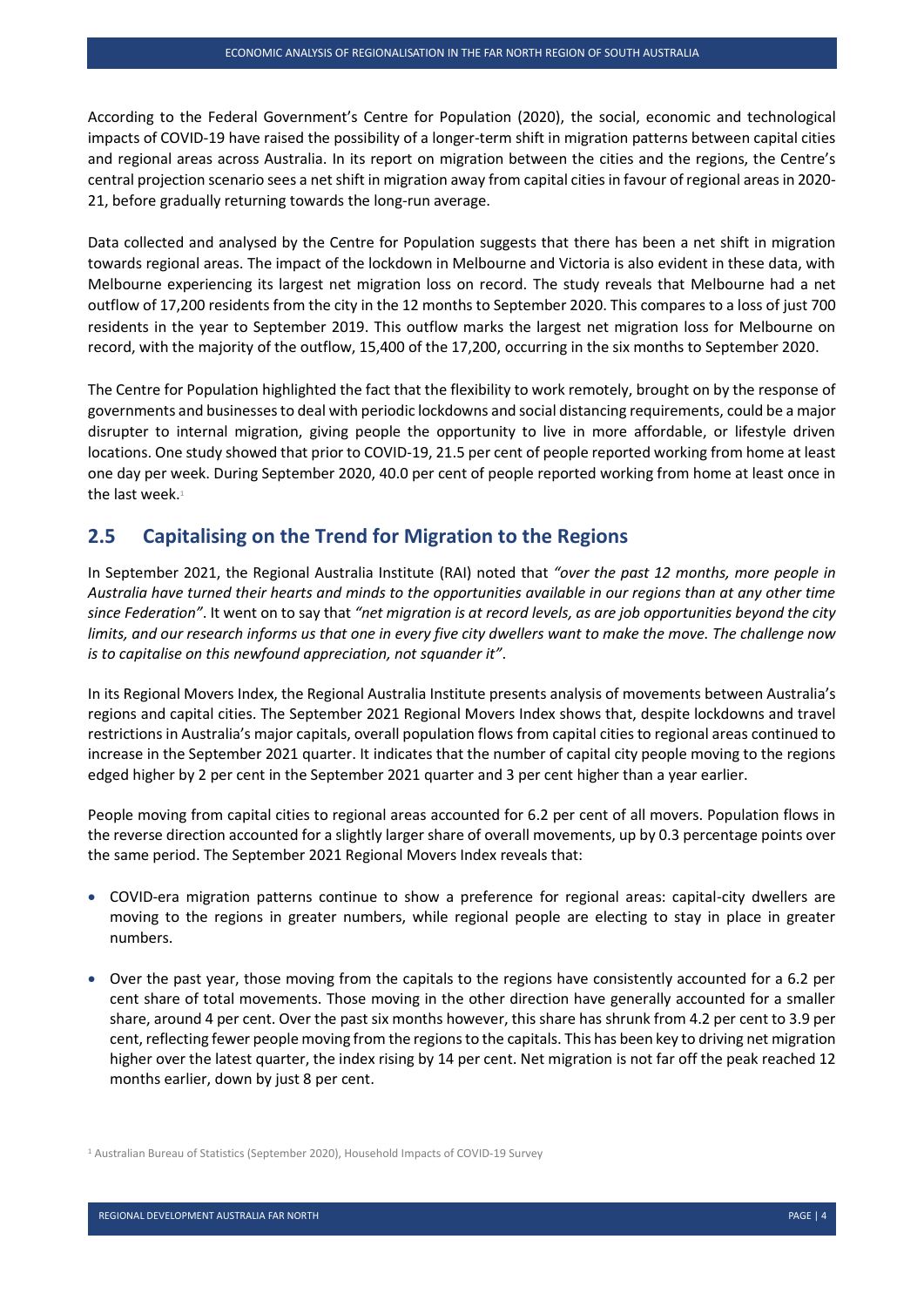According to the Federal Government's Centre for Population (2020), the social, economic and technological impacts of COVID-19 have raised the possibility of a longer-term shift in migration patterns between capital cities and regional areas across Australia. In its report on migration between the cities and the regions, the Centre's central projection scenario sees a net shift in migration away from capital cities in favour of regional areas in 2020- 21, before gradually returning towards the long-run average.

Data collected and analysed by the Centre for Population suggests that there has been a net shift in migration towards regional areas. The impact of the lockdown in Melbourne and Victoria is also evident in these data, with Melbourne experiencing its largest net migration loss on record. The study reveals that Melbourne had a net outflow of 17,200 residents from the city in the 12 months to September 2020. This compares to a loss of just 700 residents in the year to September 2019. This outflow marks the largest net migration loss for Melbourne on record, with the majority of the outflow, 15,400 of the 17,200, occurring in the six months to September 2020.

The Centre for Population highlighted the fact that the flexibility to work remotely, brought on by the response of governments and businesses to deal with periodic lockdowns and social distancing requirements, could be a major disrupter to internal migration, giving people the opportunity to live in more affordable, or lifestyle driven locations. One study showed that prior to COVID-19, 21.5 per cent of people reported working from home at least one day per week. During September 2020, 40.0 per cent of people reported working from home at least once in the last week. $1$ 

#### <span id="page-10-0"></span>**2.5 Capitalising on the Trend for Migration to the Regions**

In September 2021, the Regional Australia Institute (RAI) noted that *"over the past 12 months, more people in Australia have turned their hearts and minds to the opportunities available in our regions than at any other time since Federation"*. It went on to say that *"net migration is at record levels, as are job opportunities beyond the city limits, and our research informs us that one in every five city dwellers want to make the move. The challenge now is to capitalise on this newfound appreciation, not squander it"*.

In its Regional Movers Index, the Regional Australia Institute presents analysis of movements between Australia's regions and capital cities. The September 2021 Regional Movers Index shows that, despite lockdowns and travel restrictions in Australia's major capitals, overall population flows from capital cities to regional areas continued to increase in the September 2021 quarter. It indicates that the number of capital city people moving to the regions edged higher by 2 per cent in the September 2021 quarter and 3 per cent higher than a year earlier.

People moving from capital cities to regional areas accounted for 6.2 per cent of all movers. Population flows in the reverse direction accounted for a slightly larger share of overall movements, up by 0.3 percentage points over the same period. The September 2021 Regional Movers Index reveals that:

- COVID-era migration patterns continue to show a preference for regional areas: capital-city dwellers are moving to the regions in greater numbers, while regional people are electing to stay in place in greater numbers.
- Over the past year, those moving from the capitals to the regions have consistently accounted for a 6.2 per cent share of total movements. Those moving in the other direction have generally accounted for a smaller share, around 4 per cent. Over the past six months however, this share has shrunk from 4.2 per cent to 3.9 per cent, reflecting fewer people moving from the regions to the capitals. This has been key to driving net migration higher over the latest quarter, the index rising by 14 per cent. Net migration is not far off the peak reached 12 months earlier, down by just 8 per cent.

<sup>&</sup>lt;sup>1</sup> Australian Bureau of Statistics (September 2020), Household Impacts of COVID-19 Survey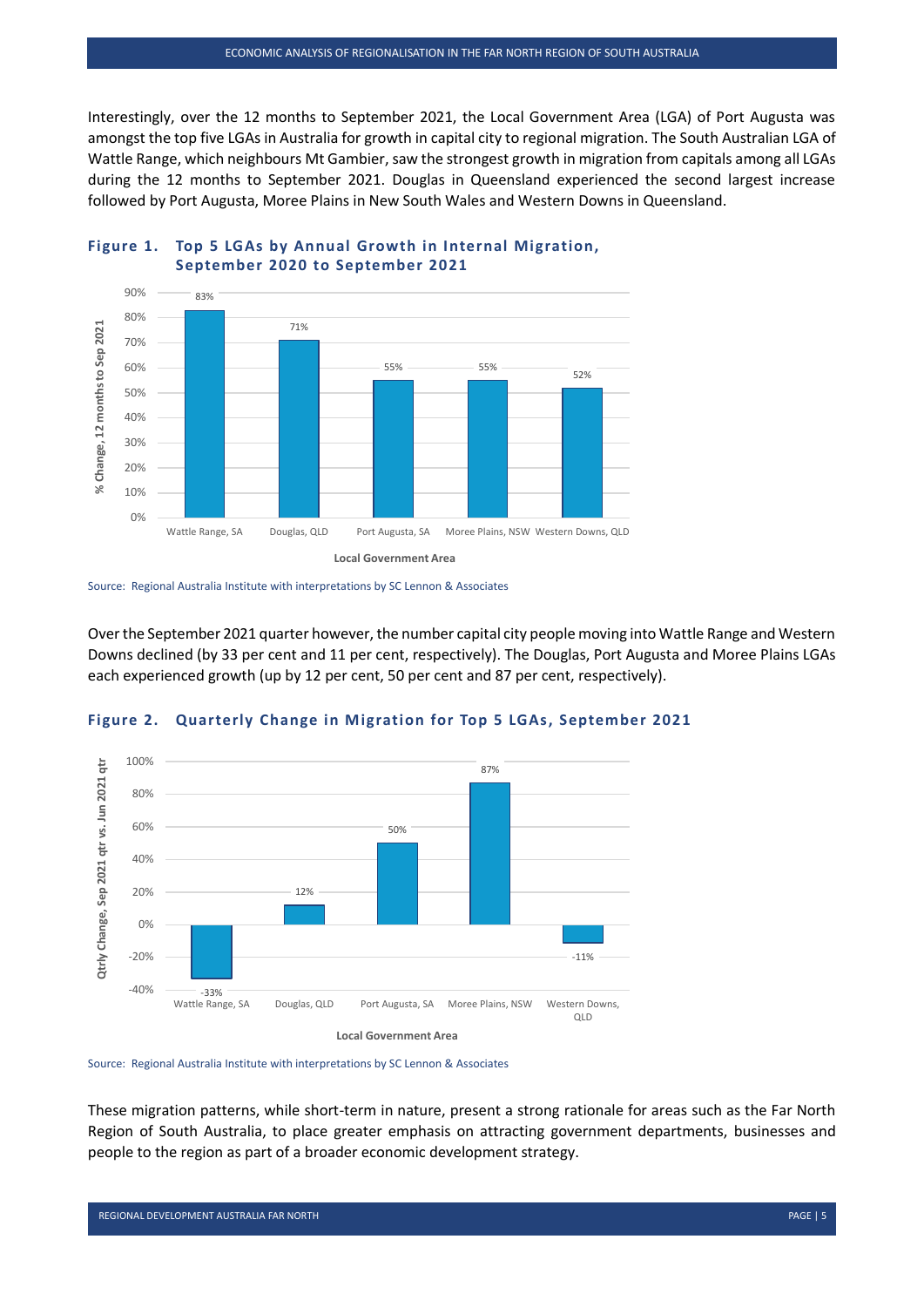Interestingly, over the 12 months to September 2021, the Local Government Area (LGA) of Port Augusta was amongst the top five LGAs in Australia for growth in capital city to regional migration. The South Australian LGA of Wattle Range, which neighbours Mt Gambier, saw the strongest growth in migration from capitals among all LGAs during the 12 months to September 2021. Douglas in Queensland experienced the second largest increase followed by Port Augusta, Moree Plains in New South Wales and Western Downs in Queensland.



#### <span id="page-11-0"></span>**Figure 1. Top 5 LGAs by Annual Growth in Internal Migration, September 2020 to September 2021**

Over the September 2021 quarter however, the number capital city people moving into Wattle Range and Western Downs declined (by 33 per cent and 11 per cent, respectively). The Douglas, Port Augusta and Moree Plains LGAs each experienced growth (up by 12 per cent, 50 per cent and 87 per cent, respectively).



#### <span id="page-11-1"></span>**Figure 2. Quarterly Change in Migration for Top 5 LGAs, September 2021**

Source: Regional Australia Institute with interpretations by SC Lennon & Associates

These migration patterns, while short-term in nature, present a strong rationale for areas such as the Far North Region of South Australia, to place greater emphasis on attracting government departments, businesses and people to the region as part of a broader economic development strategy.

Source: Regional Australia Institute with interpretations by SC Lennon & Associates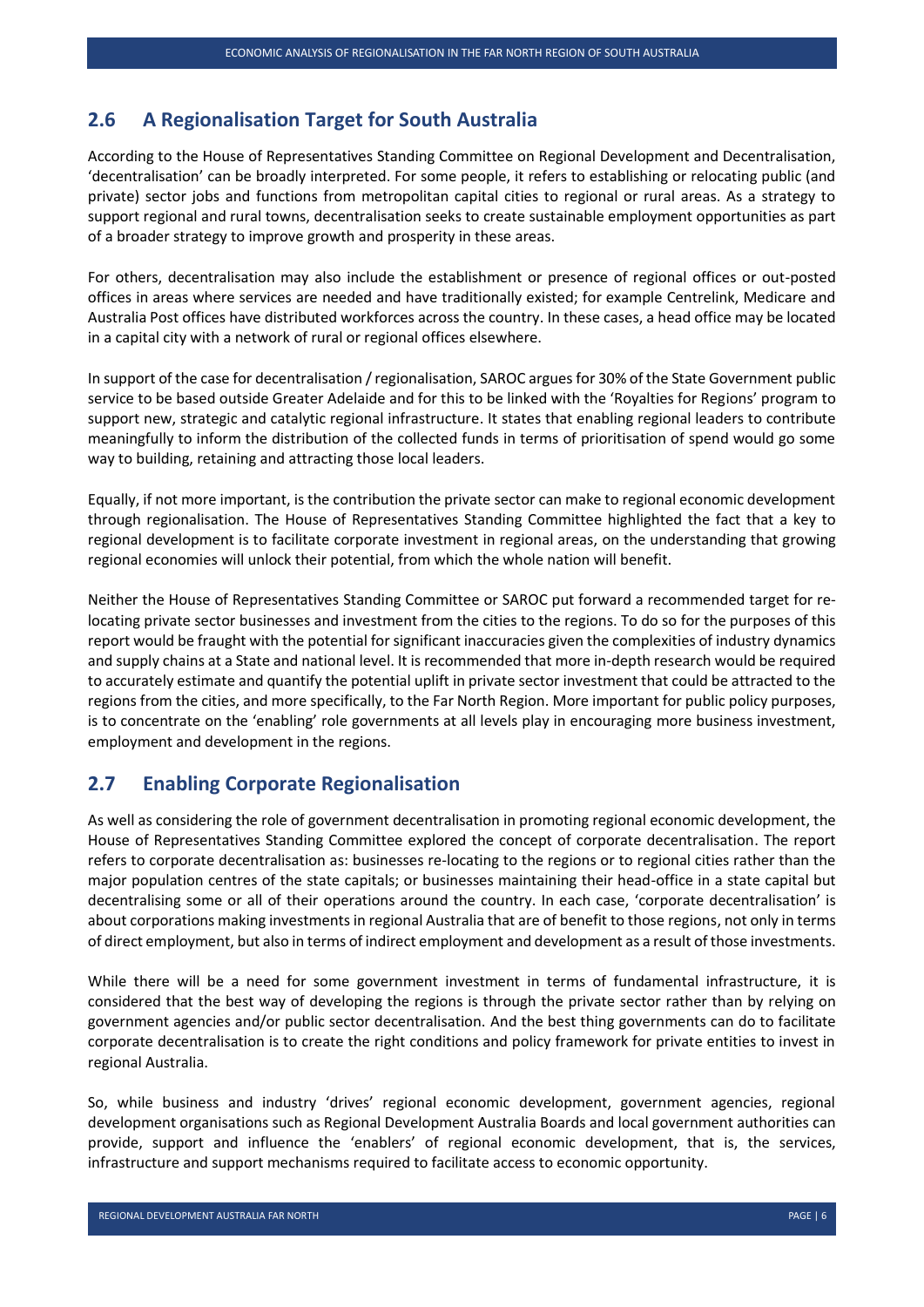#### <span id="page-12-0"></span>**2.6 A Regionalisation Target for South Australia**

According to the House of Representatives Standing Committee on Regional Development and Decentralisation, 'decentralisation' can be broadly interpreted. For some people, it refers to establishing or relocating public (and private) sector jobs and functions from metropolitan capital cities to regional or rural areas. As a strategy to support regional and rural towns, decentralisation seeks to create sustainable employment opportunities as part of a broader strategy to improve growth and prosperity in these areas.

For others, decentralisation may also include the establishment or presence of regional offices or out-posted offices in areas where services are needed and have traditionally existed; for example Centrelink, Medicare and Australia Post offices have distributed workforces across the country. In these cases, a head office may be located in a capital city with a network of rural or regional offices elsewhere.

In support of the case for decentralisation / regionalisation, SAROC argues for 30% of the State Government public service to be based outside Greater Adelaide and for this to be linked with the 'Royalties for Regions' program to support new, strategic and catalytic regional infrastructure. It states that enabling regional leaders to contribute meaningfully to inform the distribution of the collected funds in terms of prioritisation of spend would go some way to building, retaining and attracting those local leaders.

Equally, if not more important, is the contribution the private sector can make to regional economic development through regionalisation. The House of Representatives Standing Committee highlighted the fact that a key to regional development is to facilitate corporate investment in regional areas, on the understanding that growing regional economies will unlock their potential, from which the whole nation will benefit.

Neither the House of Representatives Standing Committee or SAROC put forward a recommended target for relocating private sector businesses and investment from the cities to the regions. To do so for the purposes of this report would be fraught with the potential for significant inaccuracies given the complexities of industry dynamics and supply chains at a State and national level. It is recommended that more in-depth research would be required to accurately estimate and quantify the potential uplift in private sector investment that could be attracted to the regions from the cities, and more specifically, to the Far North Region. More important for public policy purposes, is to concentrate on the 'enabling' role governments at all levels play in encouraging more business investment, employment and development in the regions.

#### <span id="page-12-1"></span>**2.7 Enabling Corporate Regionalisation**

As well as considering the role of government decentralisation in promoting regional economic development, the House of Representatives Standing Committee explored the concept of corporate decentralisation. The report refers to corporate decentralisation as: businesses re-locating to the regions or to regional cities rather than the major population centres of the state capitals; or businesses maintaining their head-office in a state capital but decentralising some or all of their operations around the country. In each case, 'corporate decentralisation' is about corporations making investments in regional Australia that are of benefit to those regions, not only in terms of direct employment, but also in terms of indirect employment and development as a result of those investments.

While there will be a need for some government investment in terms of fundamental infrastructure, it is considered that the best way of developing the regions is through the private sector rather than by relying on government agencies and/or public sector decentralisation. And the best thing governments can do to facilitate corporate decentralisation is to create the right conditions and policy framework for private entities to invest in regional Australia.

So, while business and industry 'drives' regional economic development, government agencies, regional development organisations such as Regional Development Australia Boards and local government authorities can provide, support and influence the 'enablers' of regional economic development, that is, the services, infrastructure and support mechanisms required to facilitate access to economic opportunity.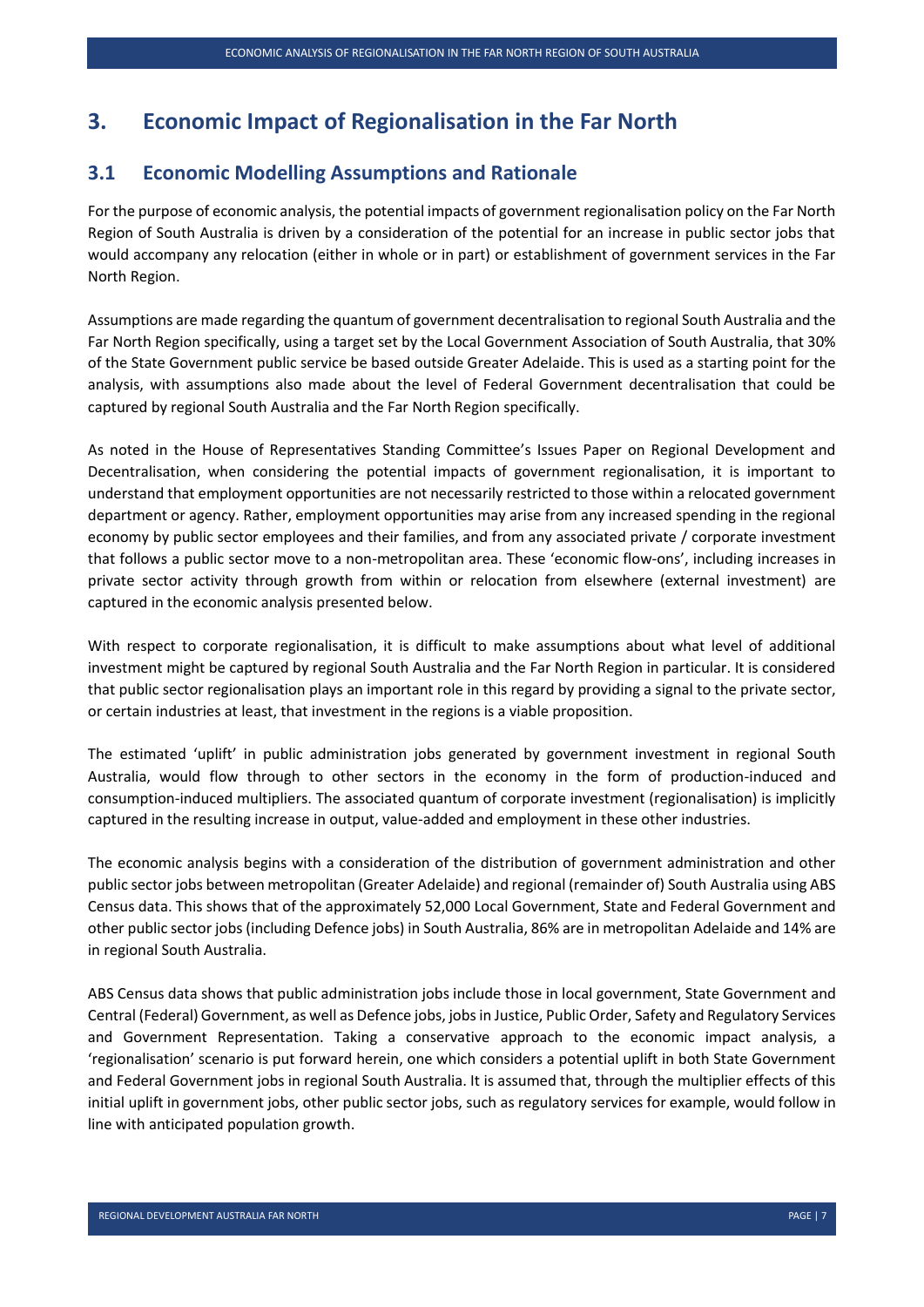#### <span id="page-13-0"></span>**3. Economic Impact of Regionalisation in the Far North**

#### <span id="page-13-1"></span>**3.1 Economic Modelling Assumptions and Rationale**

For the purpose of economic analysis, the potential impacts of government regionalisation policy on the Far North Region of South Australia is driven by a consideration of the potential for an increase in public sector jobs that would accompany any relocation (either in whole or in part) or establishment of government services in the Far North Region.

Assumptions are made regarding the quantum of government decentralisation to regional South Australia and the Far North Region specifically, using a target set by the Local Government Association of South Australia, that 30% of the State Government public service be based outside Greater Adelaide. This is used as a starting point for the analysis, with assumptions also made about the level of Federal Government decentralisation that could be captured by regional South Australia and the Far North Region specifically.

As noted in the House of Representatives Standing Committee's Issues Paper on Regional Development and Decentralisation, when considering the potential impacts of government regionalisation, it is important to understand that employment opportunities are not necessarily restricted to those within a relocated government department or agency. Rather, employment opportunities may arise from any increased spending in the regional economy by public sector employees and their families, and from any associated private / corporate investment that follows a public sector move to a non-metropolitan area. These 'economic flow-ons', including increases in private sector activity through growth from within or relocation from elsewhere (external investment) are captured in the economic analysis presented below.

With respect to corporate regionalisation, it is difficult to make assumptions about what level of additional investment might be captured by regional South Australia and the Far North Region in particular. It is considered that public sector regionalisation plays an important role in this regard by providing a signal to the private sector, or certain industries at least, that investment in the regions is a viable proposition.

The estimated 'uplift' in public administration jobs generated by government investment in regional South Australia, would flow through to other sectors in the economy in the form of production-induced and consumption-induced multipliers. The associated quantum of corporate investment (regionalisation) is implicitly captured in the resulting increase in output, value-added and employment in these other industries.

The economic analysis begins with a consideration of the distribution of government administration and other public sector jobs between metropolitan (Greater Adelaide) and regional (remainder of) South Australia using ABS Census data. This shows that of the approximately 52,000 Local Government, State and Federal Government and other public sector jobs (including Defence jobs) in South Australia, 86% are in metropolitan Adelaide and 14% are in regional South Australia.

ABS Census data shows that public administration jobs include those in local government, State Government and Central (Federal) Government, as well as Defence jobs, jobs in Justice, Public Order, Safety and Regulatory Services and Government Representation. Taking a conservative approach to the economic impact analysis, a 'regionalisation' scenario is put forward herein, one which considers a potential uplift in both State Government and Federal Government jobs in regional South Australia. It is assumed that, through the multiplier effects of this initial uplift in government jobs, other public sector jobs, such as regulatory services for example, would follow in line with anticipated population growth.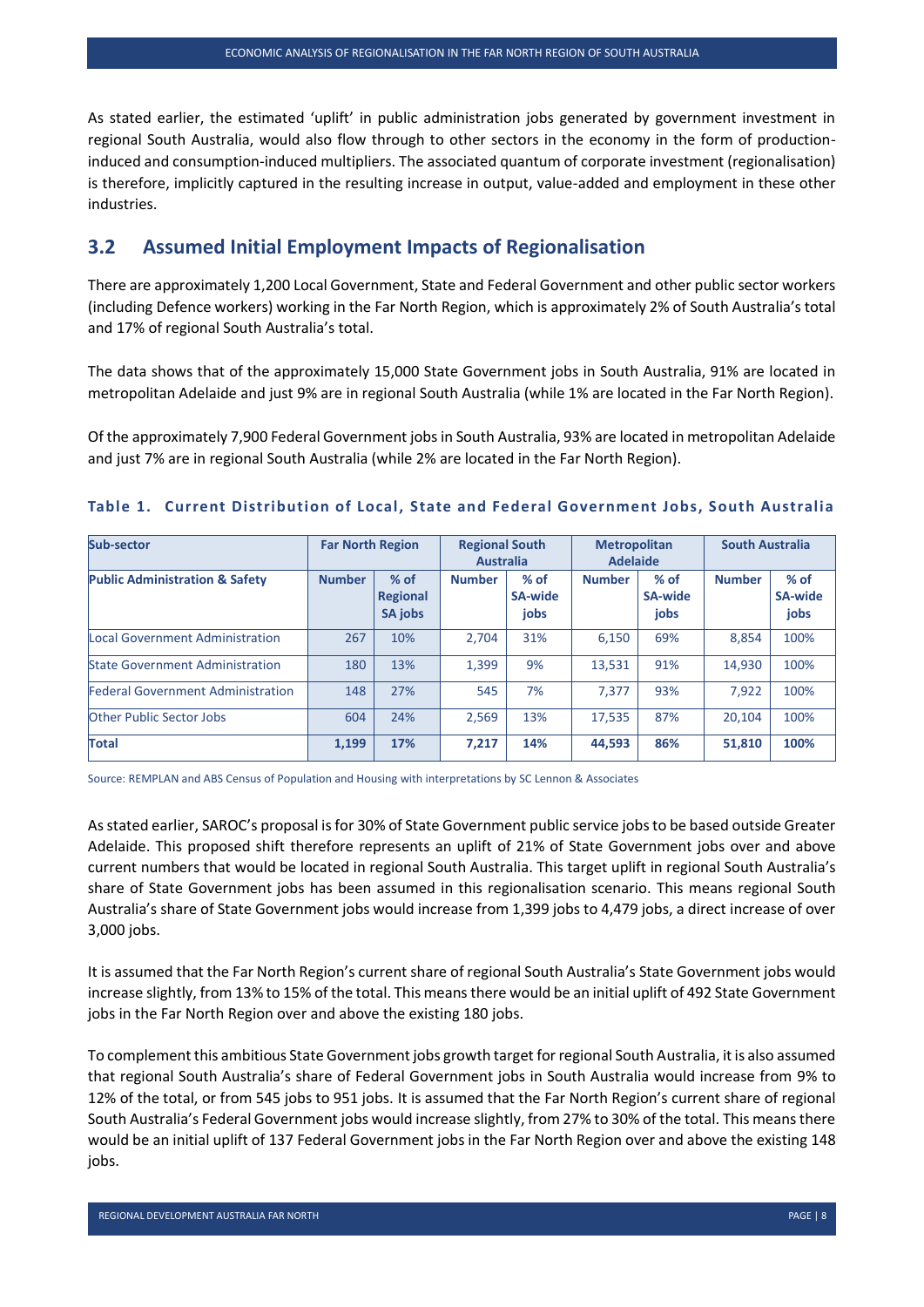As stated earlier, the estimated 'uplift' in public administration jobs generated by government investment in regional South Australia, would also flow through to other sectors in the economy in the form of productioninduced and consumption-induced multipliers. The associated quantum of corporate investment (regionalisation) is therefore, implicitly captured in the resulting increase in output, value-added and employment in these other industries.

#### <span id="page-14-0"></span>**3.2 Assumed Initial Employment Impacts of Regionalisation**

There are approximately 1,200 Local Government, State and Federal Government and other public sector workers (including Defence workers) working in the Far North Region, which is approximately 2% of South Australia's total and 17% of regional South Australia's total.

The data shows that of the approximately 15,000 State Government jobs in South Australia, 91% are located in metropolitan Adelaide and just 9% are in regional South Australia (while 1% are located in the Far North Region).

Of the approximately 7,900 Federal Government jobs in South Australia, 93% are located in metropolitan Adelaide and just 7% are in regional South Australia (while 2% are located in the Far North Region).

| Sub-sector                                | <b>Far North Region</b> |                                      | <b>Regional South</b><br><b>Australia</b> |                           | <b>Metropolitan</b><br><b>Adelaide</b> |                           | <b>South Australia</b> |                                  |
|-------------------------------------------|-------------------------|--------------------------------------|-------------------------------------------|---------------------------|----------------------------------------|---------------------------|------------------------|----------------------------------|
| <b>Public Administration &amp; Safety</b> | <b>Number</b>           | $%$ of<br><b>Regional</b><br>SA jobs | <b>Number</b>                             | $%$ of<br>SA-wide<br>jobs | <b>Number</b>                          | $%$ of<br>SA-wide<br>jobs | <b>Number</b>          | $%$ of<br><b>SA-wide</b><br>jobs |
| Local Government Administration           | 267                     | 10%                                  | 2.704                                     | 31%                       | 6.150                                  | 69%                       | 8,854                  | 100%                             |
| <b>State Government Administration</b>    | 180                     | 13%                                  | 1.399                                     | 9%                        | 13.531                                 | 91%                       | 14.930                 | 100%                             |
| <b>Federal Government Administration</b>  | 148                     | 27%                                  | 545                                       | 7%                        | 7.377                                  | 93%                       | 7.922                  | 100%                             |
| <b>Other Public Sector Jobs</b>           | 604                     | 24%                                  | 2.569                                     | 13%                       | 17.535                                 | 87%                       | 20.104                 | 100%                             |
| <b>Total</b>                              | 1,199                   | 17%                                  | 7.217                                     | 14%                       | 44,593                                 | 86%                       | 51,810                 | 100%                             |

#### <span id="page-14-1"></span>**Table 1. Current Distribution of Local, State and Federal Government Jobs, South Australia**

Source: REMPLAN and ABS Census of Population and Housing with interpretations by SC Lennon & Associates

As stated earlier, SAROC's proposal is for 30% of State Government public service jobs to be based outside Greater Adelaide. This proposed shift therefore represents an uplift of 21% of State Government jobs over and above current numbers that would be located in regional South Australia. This target uplift in regional South Australia's share of State Government jobs has been assumed in this regionalisation scenario. This means regional South Australia's share of State Government jobs would increase from 1,399 jobs to 4,479 jobs, a direct increase of over 3,000 jobs.

It is assumed that the Far North Region's current share of regional South Australia's State Government jobs would increase slightly, from 13% to 15% of the total. This means there would be an initial uplift of 492 State Government jobs in the Far North Region over and above the existing 180 jobs.

To complement this ambitious State Government jobs growth target for regional South Australia, it is also assumed that regional South Australia's share of Federal Government jobs in South Australia would increase from 9% to 12% of the total, or from 545 jobs to 951 jobs. It is assumed that the Far North Region's current share of regional South Australia's Federal Government jobs would increase slightly, from 27% to 30% of the total. This means there would be an initial uplift of 137 Federal Government jobs in the Far North Region over and above the existing 148 jobs.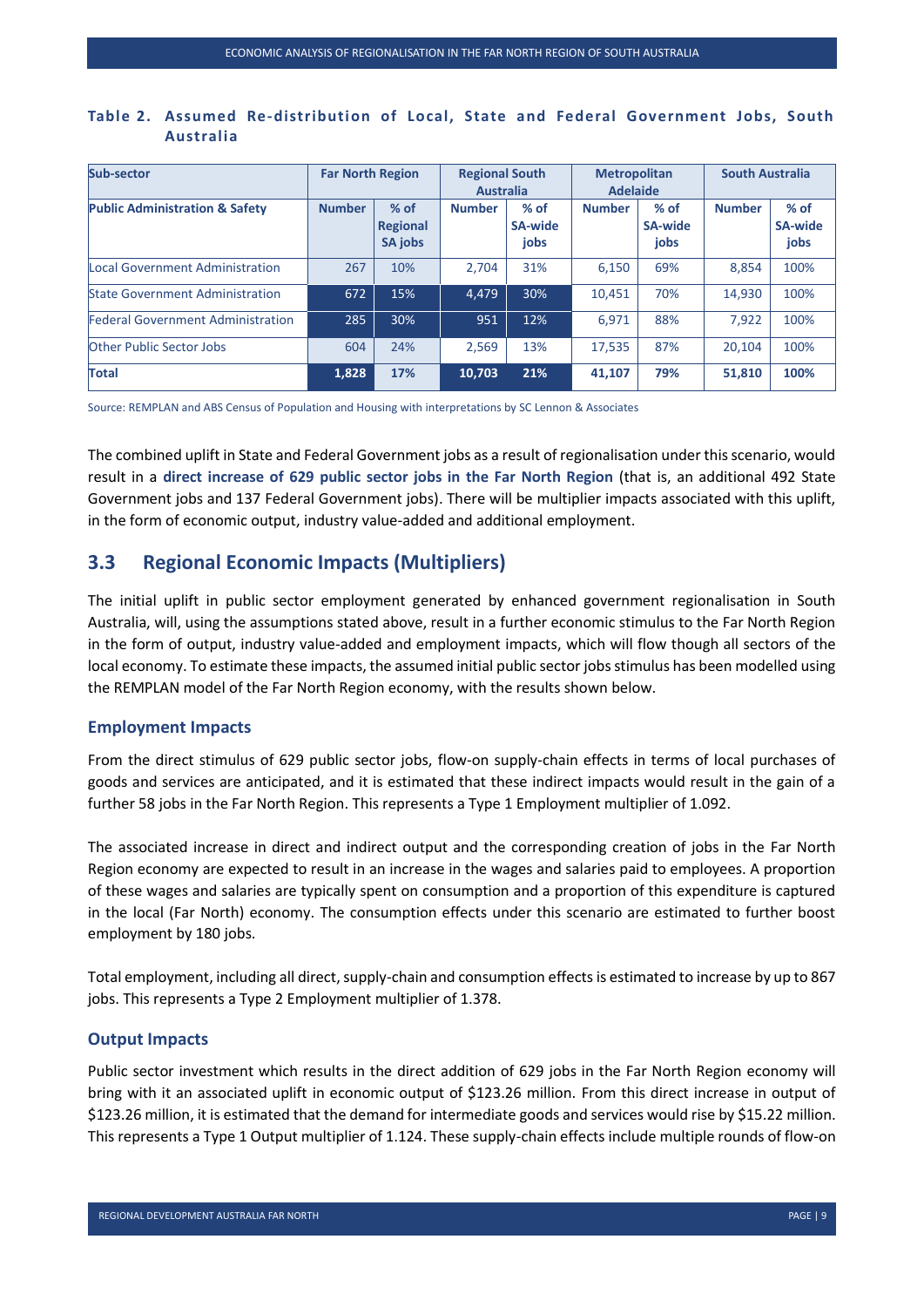| Sub-sector                                | <b>Far North Region</b> |                                             | <b>Regional South</b><br><b>Australia</b> |                           | <b>Metropolitan</b><br><b>Adelaide</b> |                                  | <b>South Australia</b> |                                  |
|-------------------------------------------|-------------------------|---------------------------------------------|-------------------------------------------|---------------------------|----------------------------------------|----------------------------------|------------------------|----------------------------------|
| <b>Public Administration &amp; Safety</b> | <b>Number</b>           | $%$ of<br><b>Regional</b><br><b>SA jobs</b> | <b>Number</b>                             | $%$ of<br>SA-wide<br>jobs | <b>Number</b>                          | $%$ of<br><b>SA-wide</b><br>jobs | <b>Number</b>          | $%$ of<br><b>SA-wide</b><br>jobs |
| Local Government Administration           | 267                     | 10%                                         | 2.704                                     | 31%                       | 6.150                                  | 69%                              | 8.854                  | 100%                             |
| <b>State Government Administration</b>    | 672                     | 15%                                         | 4.479                                     | 30%                       | 10.451                                 | 70%                              | 14.930                 | 100%                             |
| <b>Federal Government Administration</b>  | 285                     | 30%                                         | 951                                       | 12%                       | 6.971                                  | 88%                              | 7.922                  | 100%                             |
| <b>Other Public Sector Jobs</b>           | 604                     | 24%                                         | 2.569                                     | 13%                       | 17.535                                 | 87%                              | 20.104                 | 100%                             |
| <b>Total</b>                              | 1,828                   | 17%                                         | 10.703                                    | 21%                       | 41,107                                 | 79%                              | 51.810                 | 100%                             |

#### <span id="page-15-1"></span>**Table 2. Assumed Re-distribution of Local, State and Federal Government Jobs, South Australia**

Source: REMPLAN and ABS Census of Population and Housing with interpretations by SC Lennon & Associates

The combined uplift in State and Federal Government jobs as a result of regionalisation under this scenario, would result in a **direct increase of 629 public sector jobs in the Far North Region** (that is, an additional 492 State Government jobs and 137 Federal Government jobs). There will be multiplier impacts associated with this uplift, in the form of economic output, industry value-added and additional employment.

#### <span id="page-15-0"></span>**3.3 Regional Economic Impacts (Multipliers)**

The initial uplift in public sector employment generated by enhanced government regionalisation in South Australia, will, using the assumptions stated above, result in a further economic stimulus to the Far North Region in the form of output, industry value-added and employment impacts, which will flow though all sectors of the local economy. To estimate these impacts, the assumed initial public sector jobs stimulus has been modelled using the REMPLAN model of the Far North Region economy, with the results shown below.

#### **Employment Impacts**

From the direct stimulus of 629 public sector jobs, flow-on supply-chain effects in terms of local purchases of goods and services are anticipated, and it is estimated that these indirect impacts would result in the gain of a further 58 jobs in the Far North Region. This represents a Type 1 Employment multiplier of 1.092.

The associated increase in direct and indirect output and the corresponding creation of jobs in the Far North Region economy are expected to result in an increase in the wages and salaries paid to employees. A proportion of these wages and salaries are typically spent on consumption and a proportion of this expenditure is captured in the local (Far North) economy. The consumption effects under this scenario are estimated to further boost employment by 180 jobs.

Total employment, including all direct, supply-chain and consumption effects is estimated to increase by up to 867 jobs. This represents a Type 2 Employment multiplier of 1.378.

#### **Output Impacts**

Public sector investment which results in the direct addition of 629 jobs in the Far North Region economy will bring with it an associated uplift in economic output of \$123.26 million. From this direct increase in output of \$123.26 million, it is estimated that the demand for intermediate goods and services would rise by \$15.22 million. This represents a Type 1 Output multiplier of 1.124. These supply-chain effects include multiple rounds of flow-on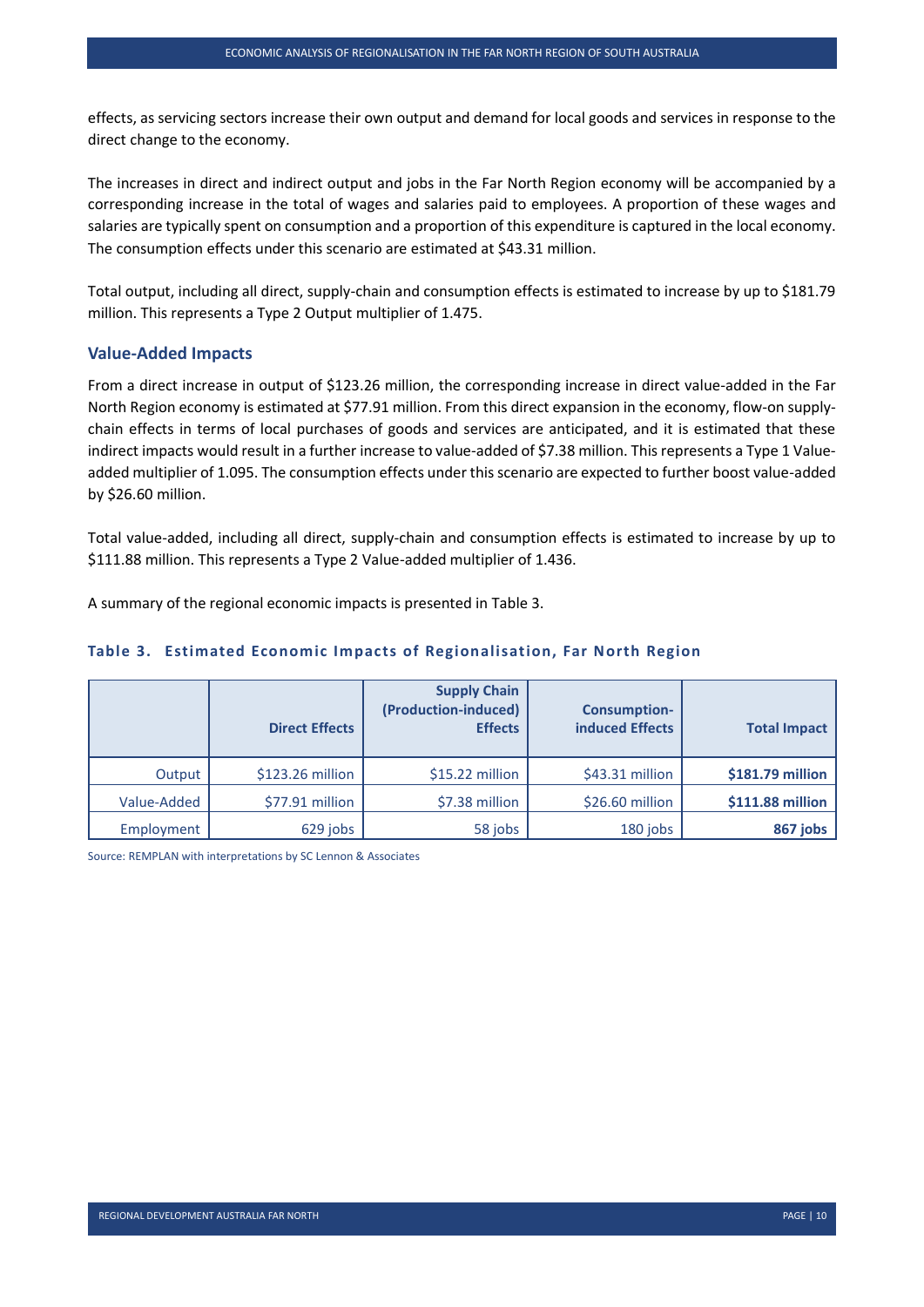effects, as servicing sectors increase their own output and demand for local goods and services in response to the direct change to the economy.

The increases in direct and indirect output and jobs in the Far North Region economy will be accompanied by a corresponding increase in the total of wages and salaries paid to employees. A proportion of these wages and salaries are typically spent on consumption and a proportion of this expenditure is captured in the local economy. The consumption effects under this scenario are estimated at \$43.31 million.

Total output, including all direct, supply-chain and consumption effects is estimated to increase by up to \$181.79 million. This represents a Type 2 Output multiplier of 1.475.

#### **Value-Added Impacts**

From a direct increase in output of \$123.26 million, the corresponding increase in direct value-added in the Far North Region economy is estimated at \$77.91 million. From this direct expansion in the economy, flow-on supplychain effects in terms of local purchases of goods and services are anticipated, and it is estimated that these indirect impacts would result in a further increase to value-added of \$7.38 million. This represents a Type 1 Valueadded multiplier of 1.095. The consumption effects under this scenario are expected to further boost value-added by \$26.60 million.

Total value-added, including all direct, supply-chain and consumption effects is estimated to increase by up to \$111.88 million. This represents a Type 2 Value-added multiplier of 1.436.

<span id="page-16-0"></span>A summary of the regional economic impacts is presented in Table 3.

|             | <b>Direct Effects</b> | <b>Supply Chain</b><br>(Production-induced)<br><b>Effects</b> | <b>Consumption-</b><br><b>induced Effects</b> | <b>Total Impact</b> |
|-------------|-----------------------|---------------------------------------------------------------|-----------------------------------------------|---------------------|
| Output      | \$123.26 million      | $$15.22$ million                                              | $$43.31$ million                              | \$181.79 million    |
| Value-Added | \$77.91 million       | \$7.38 million                                                | $$26.60$ million                              | \$111.88 million    |
| Employment  | 629 jobs              | 58 jobs                                                       | 180 jobs                                      | 867 jobs            |

#### **Table 3. Estimated Economic Impacts of Regionalisation, Far North Region**

Source: REMPLAN with interpretations by SC Lennon & Associates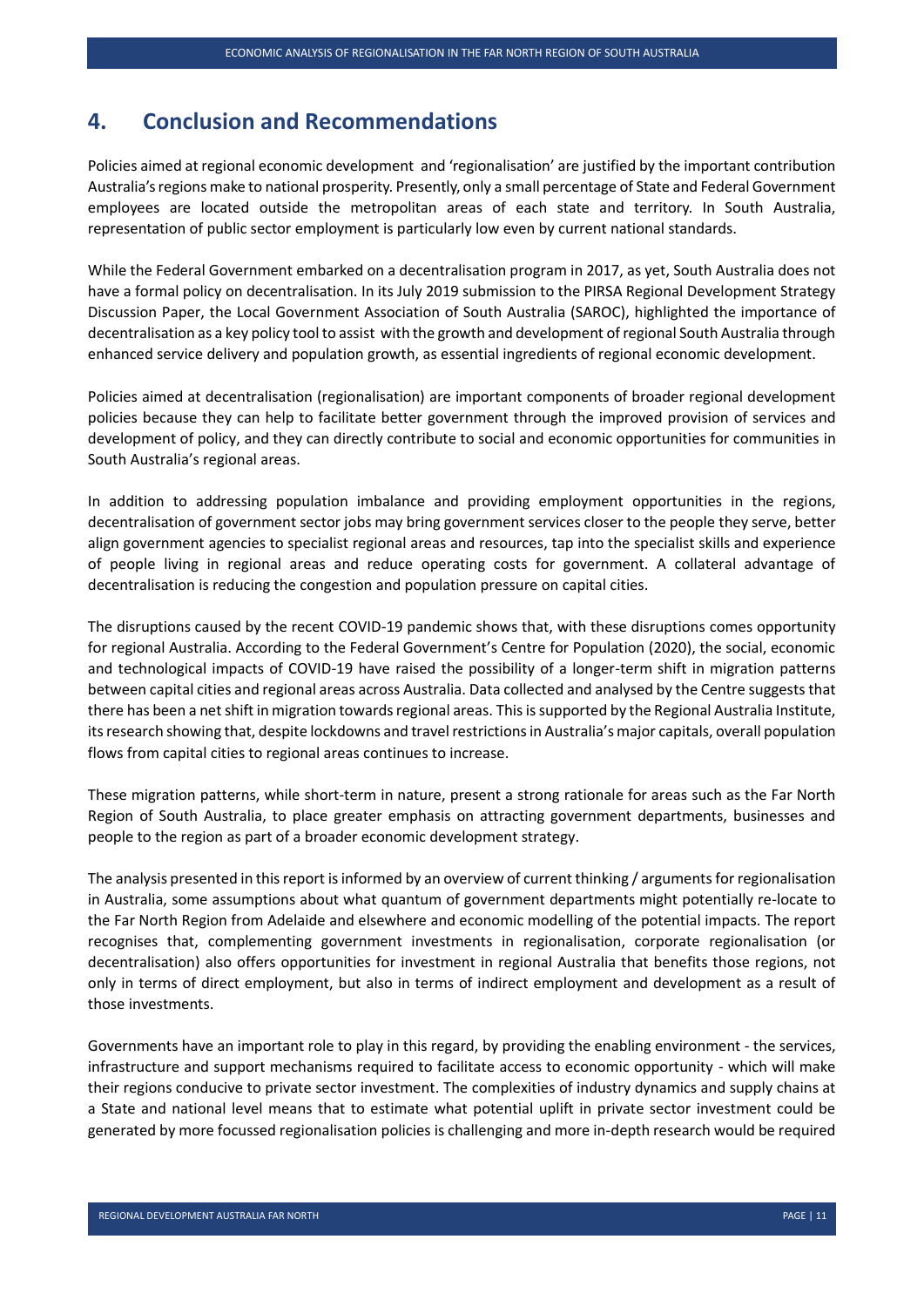#### <span id="page-17-0"></span>**4. Conclusion and Recommendations**

Policies aimed at regional economic development and 'regionalisation' are justified by the important contribution Australia's regions make to national prosperity. Presently, only a small percentage of State and Federal Government employees are located outside the metropolitan areas of each state and territory. In South Australia, representation of public sector employment is particularly low even by current national standards.

While the Federal Government embarked on a decentralisation program in 2017, as yet, South Australia does not have a formal policy on decentralisation. In its July 2019 submission to the PIRSA Regional Development Strategy Discussion Paper, the Local Government Association of South Australia (SAROC), highlighted the importance of decentralisation as a key policy tool to assist with the growth and development of regional South Australia through enhanced service delivery and population growth, as essential ingredients of regional economic development.

Policies aimed at decentralisation (regionalisation) are important components of broader regional development policies because they can help to facilitate better government through the improved provision of services and development of policy, and they can directly contribute to social and economic opportunities for communities in South Australia's regional areas.

In addition to addressing population imbalance and providing employment opportunities in the regions, decentralisation of government sector jobs may bring government services closer to the people they serve, better align government agencies to specialist regional areas and resources, tap into the specialist skills and experience of people living in regional areas and reduce operating costs for government. A collateral advantage of decentralisation is reducing the congestion and population pressure on capital cities.

The disruptions caused by the recent COVID-19 pandemic shows that, with these disruptions comes opportunity for regional Australia. According to the Federal Government's Centre for Population (2020), the social, economic and technological impacts of COVID-19 have raised the possibility of a longer-term shift in migration patterns between capital cities and regional areas across Australia. Data collected and analysed by the Centre suggests that there has been a net shift in migration towards regional areas. This is supported by the Regional Australia Institute, its research showing that, despite lockdowns and travel restrictions in Australia's major capitals, overall population flows from capital cities to regional areas continues to increase.

These migration patterns, while short-term in nature, present a strong rationale for areas such as the Far North Region of South Australia, to place greater emphasis on attracting government departments, businesses and people to the region as part of a broader economic development strategy.

The analysis presented in this report is informed by an overview of current thinking / arguments for regionalisation in Australia, some assumptions about what quantum of government departments might potentially re-locate to the Far North Region from Adelaide and elsewhere and economic modelling of the potential impacts. The report recognises that, complementing government investments in regionalisation, corporate regionalisation (or decentralisation) also offers opportunities for investment in regional Australia that benefits those regions, not only in terms of direct employment, but also in terms of indirect employment and development as a result of those investments.

Governments have an important role to play in this regard, by providing the enabling environment - the services, infrastructure and support mechanisms required to facilitate access to economic opportunity - which will make their regions conducive to private sector investment. The complexities of industry dynamics and supply chains at a State and national level means that to estimate what potential uplift in private sector investment could be generated by more focussed regionalisation policies is challenging and more in-depth research would be required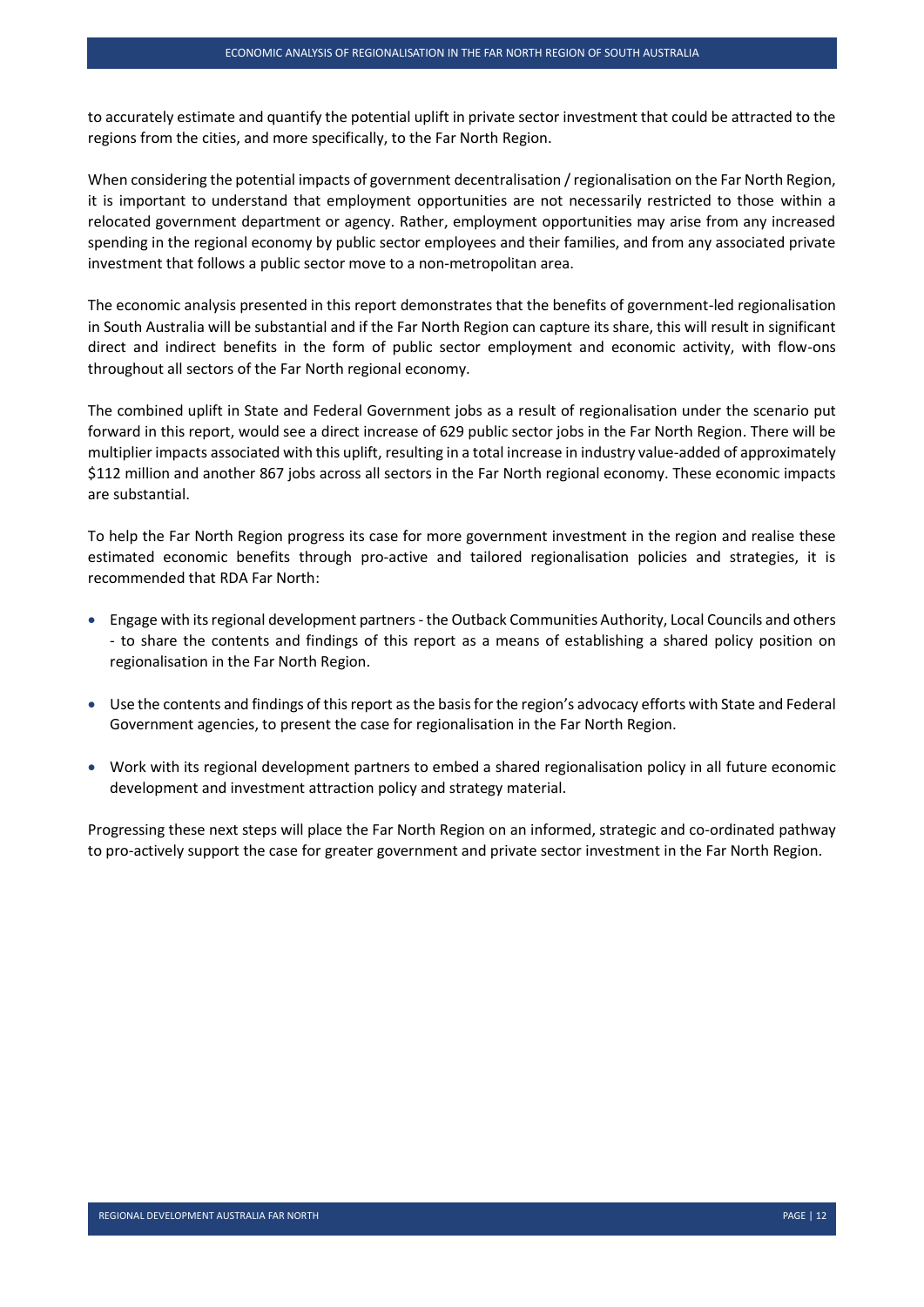to accurately estimate and quantify the potential uplift in private sector investment that could be attracted to the regions from the cities, and more specifically, to the Far North Region.

When considering the potential impacts of government decentralisation / regionalisation on the Far North Region, it is important to understand that employment opportunities are not necessarily restricted to those within a relocated government department or agency. Rather, employment opportunities may arise from any increased spending in the regional economy by public sector employees and their families, and from any associated private investment that follows a public sector move to a non-metropolitan area.

The economic analysis presented in this report demonstrates that the benefits of government-led regionalisation in South Australia will be substantial and if the Far North Region can capture its share, this will result in significant direct and indirect benefits in the form of public sector employment and economic activity, with flow-ons throughout all sectors of the Far North regional economy.

The combined uplift in State and Federal Government jobs as a result of regionalisation under the scenario put forward in this report, would see a direct increase of 629 public sector jobs in the Far North Region. There will be multiplier impacts associated with this uplift, resulting in a total increase in industry value-added of approximately \$112 million and another 867 jobs across all sectors in the Far North regional economy. These economic impacts are substantial.

To help the Far North Region progress its case for more government investment in the region and realise these estimated economic benefits through pro-active and tailored regionalisation policies and strategies, it is recommended that RDA Far North:

- Engage with its regional development partners the Outback Communities Authority, Local Councils and others - to share the contents and findings of this report as a means of establishing a shared policy position on regionalisation in the Far North Region.
- Use the contents and findings of this report as the basis for the region's advocacy efforts with State and Federal Government agencies, to present the case for regionalisation in the Far North Region.
- Work with its regional development partners to embed a shared regionalisation policy in all future economic development and investment attraction policy and strategy material.

Progressing these next steps will place the Far North Region on an informed, strategic and co-ordinated pathway to pro-actively support the case for greater government and private sector investment in the Far North Region.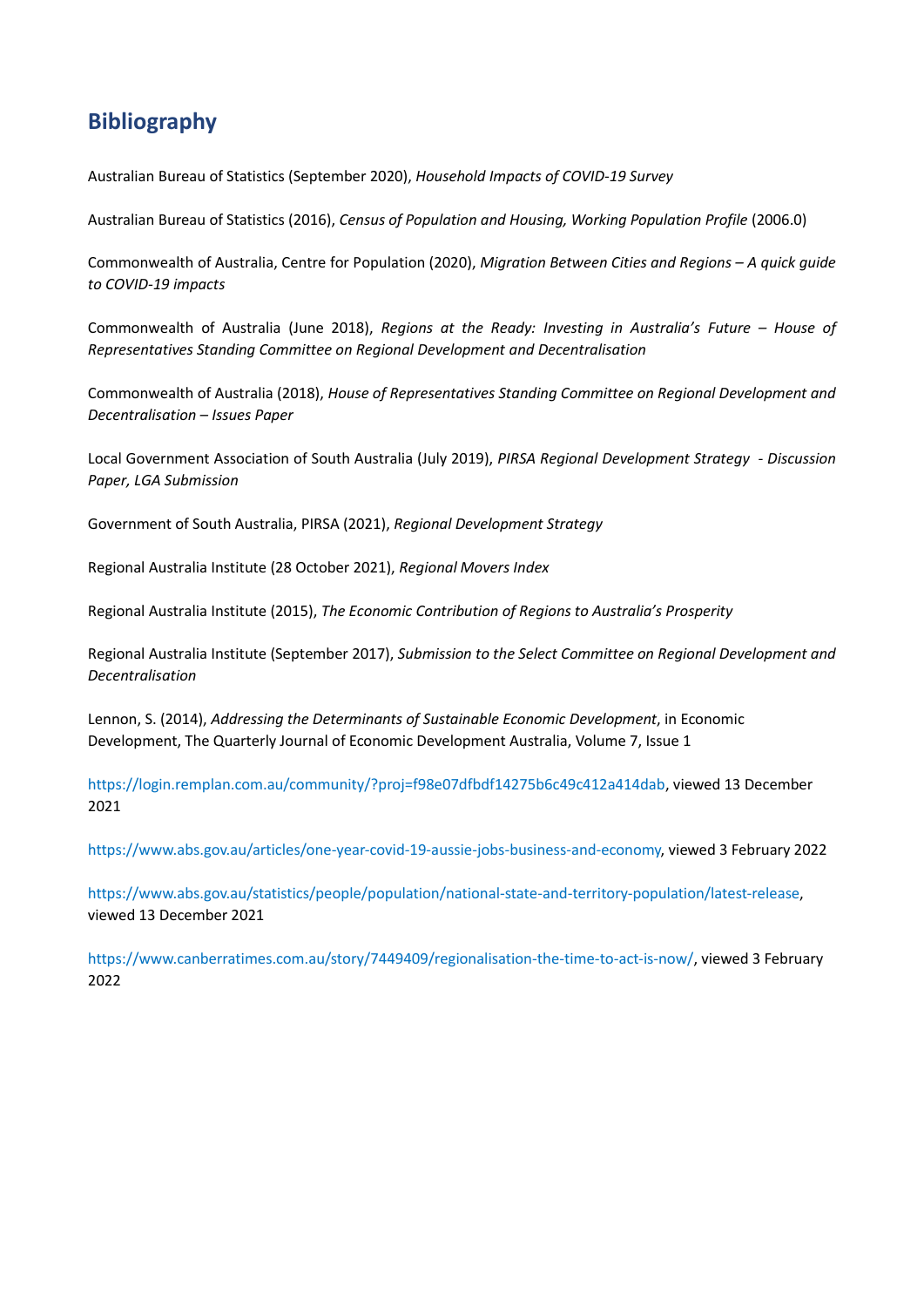## <span id="page-19-0"></span>**Bibliography**

Australian Bureau of Statistics (September 2020), *Household Impacts of COVID-19 Survey*

Australian Bureau of Statistics (2016), *Census of Population and Housing, Working Population Profile* (2006.0)

Commonwealth of Australia, Centre for Population (2020), *Migration Between Cities and Regions – A quick guide to COVID-19 impacts* 

Commonwealth of Australia (June 2018), *Regions at the Ready: Investing in Australia's Future – House of Representatives Standing Committee on Regional Development and Decentralisation* 

Commonwealth of Australia (2018), *House of Representatives Standing Committee on Regional Development and Decentralisation – Issues Paper* 

Local Government Association of South Australia (July 2019), *PIRSA Regional Development Strategy - Discussion Paper, LGA Submission* 

Government of South Australia, PIRSA (2021), *Regional Development Strategy*

Regional Australia Institute (28 October 2021), *Regional Movers Index* 

Regional Australia Institute (2015), *The Economic Contribution of Regions to Australia's Prosperity*

Regional Australia Institute (September 2017), *Submission to the Select Committee on Regional Development and Decentralisation* 

Lennon, S. (2014), *Addressing the Determinants of Sustainable Economic Development*, in Economic Development, The Quarterly Journal of Economic Development Australia, Volume 7, Issue 1

[https://login.remplan.com.au/community/?proj=f98e07dfbdf14275b6c49c412a414dab,](https://login.remplan.com.au/community/?proj=f98e07dfbdf14275b6c49c412a414dab) viewed 13 December 2021

[https://www.abs.gov.au/articles/one-year-covid-19-aussie-jobs-business-and-economy,](https://www.abs.gov.au/articles/one-year-covid-19-aussie-jobs-business-and-economy) viewed 3 February 2022

[https://www.abs.gov.au/statistics/people/population/national-state-and-territory-population/latest-release,](https://www.abs.gov.au/statistics/people/population/national-state-and-territory-population/latest-release) viewed 13 December 2021

[https://www.canberratimes.com.au/story/7449409/regionalisation-the-time-to-act-is-now/,](https://www.canberratimes.com.au/story/7449409/regionalisation-the-time-to-act-is-now/) viewed 3 February 2022